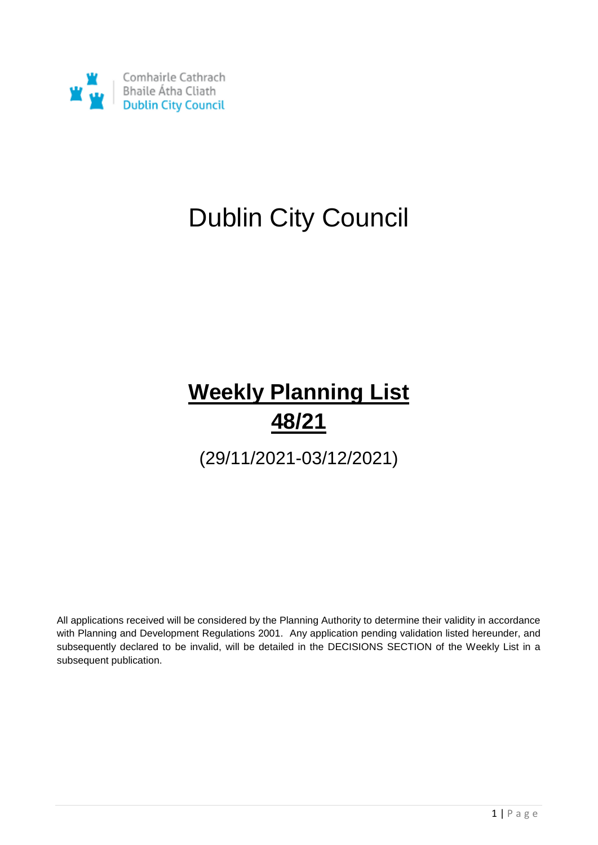

# Dublin City Council

## **Weekly Planning List 48/21**

(29/11/2021-03/12/2021)

All applications received will be considered by the Planning Authority to determine their validity in accordance with Planning and Development Regulations 2001. Any application pending validation listed hereunder, and subsequently declared to be invalid, will be detailed in the DECISIONS SECTION of the Weekly List in a subsequent publication.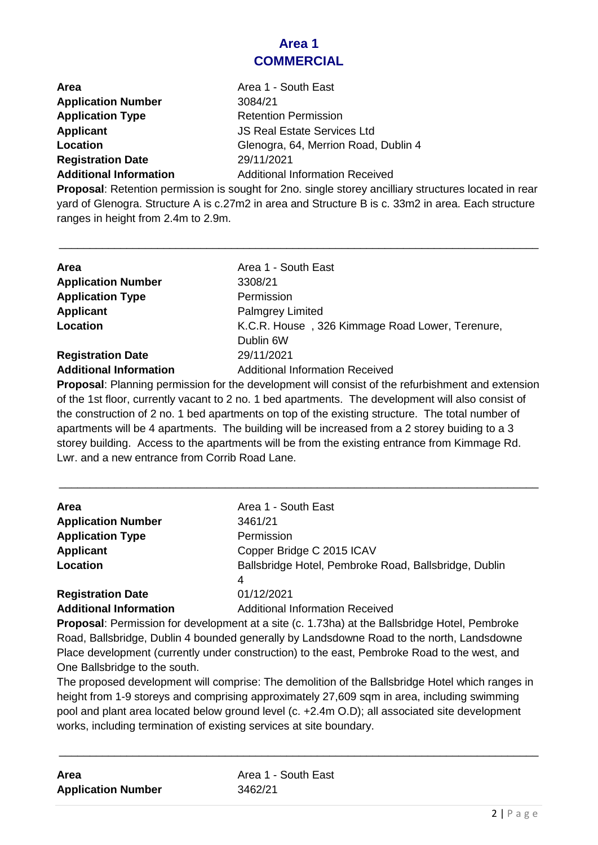### **Area 1 COMMERCIAL**

| <b>Area</b>                   | Area 1 - South East                    |
|-------------------------------|----------------------------------------|
| <b>Application Number</b>     | 3084/21                                |
| <b>Application Type</b>       | <b>Retention Permission</b>            |
| <b>Applicant</b>              | <b>JS Real Estate Services Ltd</b>     |
| Location                      | Glenogra, 64, Merrion Road, Dublin 4   |
| <b>Registration Date</b>      | 29/11/2021                             |
| <b>Additional Information</b> | <b>Additional Information Received</b> |

**Proposal**: Retention permission is sought for 2no. single storey ancilliary structures located in rear yard of Glenogra. Structure A is c.27m2 in area and Structure B is c. 33m2 in area. Each structure ranges in height from 2.4m to 2.9m.

\_\_\_\_\_\_\_\_\_\_\_\_\_\_\_\_\_\_\_\_\_\_\_\_\_\_\_\_\_\_\_\_\_\_\_\_\_\_\_\_\_\_\_\_\_\_\_\_\_\_\_\_\_\_\_\_\_\_\_\_\_\_\_\_\_\_\_\_\_\_\_\_\_\_\_\_\_\_

| Area                          | Area 1 - South East                             |
|-------------------------------|-------------------------------------------------|
| <b>Application Number</b>     | 3308/21                                         |
| <b>Application Type</b>       | Permission                                      |
| <b>Applicant</b>              | <b>Palmgrey Limited</b>                         |
| Location                      | K.C.R. House, 326 Kimmage Road Lower, Terenure, |
|                               | Dublin 6W                                       |
| <b>Registration Date</b>      | 29/11/2021                                      |
| <b>Additional Information</b> | <b>Additional Information Received</b>          |
|                               |                                                 |

**Proposal**: Planning permission for the development will consist of the refurbishment and extension of the 1st floor, currently vacant to 2 no. 1 bed apartments. The development will also consist of the construction of 2 no. 1 bed apartments on top of the existing structure. The total number of apartments will be 4 apartments. The building will be increased from a 2 storey buiding to a 3 storey building. Access to the apartments will be from the existing entrance from Kimmage Rd. Lwr. and a new entrance from Corrib Road Lane.

\_\_\_\_\_\_\_\_\_\_\_\_\_\_\_\_\_\_\_\_\_\_\_\_\_\_\_\_\_\_\_\_\_\_\_\_\_\_\_\_\_\_\_\_\_\_\_\_\_\_\_\_\_\_\_\_\_\_\_\_\_\_\_\_\_\_\_\_\_\_\_\_\_\_\_\_\_\_

| Area                          | Area 1 - South East                                   |
|-------------------------------|-------------------------------------------------------|
| <b>Application Number</b>     | 3461/21                                               |
| <b>Application Type</b>       | Permission                                            |
| <b>Applicant</b>              | Copper Bridge C 2015 ICAV                             |
| Location                      | Ballsbridge Hotel, Pembroke Road, Ballsbridge, Dublin |
|                               | 4                                                     |
| <b>Registration Date</b>      | 01/12/2021                                            |
| <b>Additional Information</b> | <b>Additional Information Received</b>                |
|                               |                                                       |

**Proposal**: Permission for development at a site (c. 1.73ha) at the Ballsbridge Hotel, Pembroke Road, Ballsbridge, Dublin 4 bounded generally by Landsdowne Road to the north, Landsdowne Place development (currently under construction) to the east, Pembroke Road to the west, and One Ballsbridge to the south.

The proposed development will comprise: The demolition of the Ballsbridge Hotel which ranges in height from 1-9 storeys and comprising approximately 27,609 sqm in area, including swimming pool and plant area located below ground level (c. +2.4m O.D); all associated site development works, including termination of existing services at site boundary.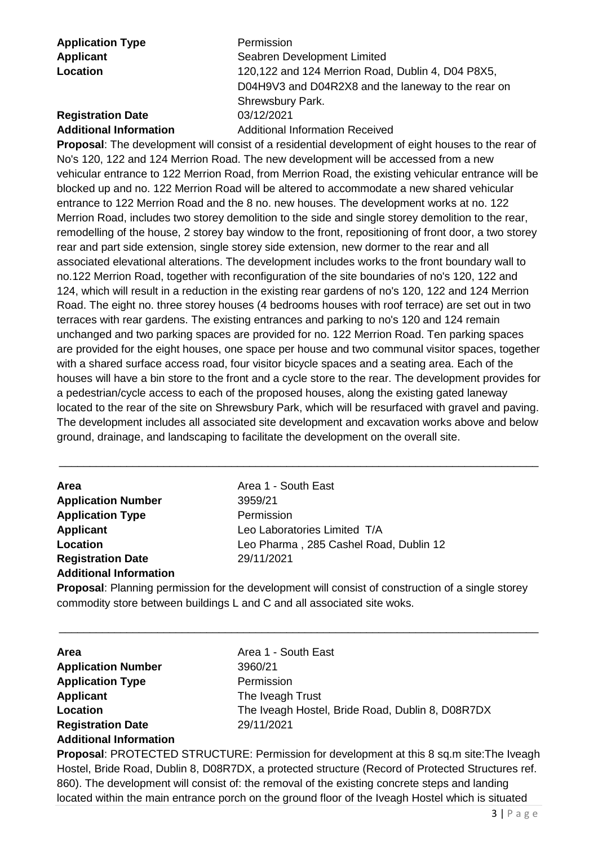**Application Type** Permission

**Applicant** Seabren Development Limited **Location** 120,122 and 124 Merrion Road, Dublin 4, D04 P8X5, D04H9V3 and D04R2X8 and the laneway to the rear on Shrewsbury Park.

### **Registration Date** 03/12/2021

**Additional Information** Additional Information Received

**Proposal**: The development will consist of a residential development of eight houses to the rear of No's 120, 122 and 124 Merrion Road. The new development will be accessed from a new vehicular entrance to 122 Merrion Road, from Merrion Road, the existing vehicular entrance will be blocked up and no. 122 Merrion Road will be altered to accommodate a new shared vehicular entrance to 122 Merrion Road and the 8 no. new houses. The development works at no. 122 Merrion Road, includes two storey demolition to the side and single storey demolition to the rear, remodelling of the house, 2 storey bay window to the front, repositioning of front door, a two storey rear and part side extension, single storey side extension, new dormer to the rear and all associated elevational alterations. The development includes works to the front boundary wall to no.122 Merrion Road, together with reconfiguration of the site boundaries of no's 120, 122 and 124, which will result in a reduction in the existing rear gardens of no's 120, 122 and 124 Merrion Road. The eight no. three storey houses (4 bedrooms houses with roof terrace) are set out in two terraces with rear gardens. The existing entrances and parking to no's 120 and 124 remain unchanged and two parking spaces are provided for no. 122 Merrion Road. Ten parking spaces are provided for the eight houses, one space per house and two communal visitor spaces, together with a shared surface access road, four visitor bicycle spaces and a seating area. Each of the houses will have a bin store to the front and a cycle store to the rear. The development provides for a pedestrian/cycle access to each of the proposed houses, along the existing gated laneway located to the rear of the site on Shrewsbury Park, which will be resurfaced with gravel and paving. The development includes all associated site development and excavation works above and below ground, drainage, and landscaping to facilitate the development on the overall site.

| Area                          | Area 1 - South East                    |
|-------------------------------|----------------------------------------|
| <b>Application Number</b>     | 3959/21                                |
| <b>Application Type</b>       | Permission                             |
| <b>Applicant</b>              | Leo Laboratories Limited T/A           |
| Location                      | Leo Pharma, 285 Cashel Road, Dublin 12 |
| <b>Registration Date</b>      | 29/11/2021                             |
| <b>Additional Information</b> |                                        |

\_\_\_\_\_\_\_\_\_\_\_\_\_\_\_\_\_\_\_\_\_\_\_\_\_\_\_\_\_\_\_\_\_\_\_\_\_\_\_\_\_\_\_\_\_\_\_\_\_\_\_\_\_\_\_\_\_\_\_\_\_\_\_\_\_\_\_\_\_\_\_\_\_\_\_\_\_\_

**Proposal**: Planning permission for the development will consist of construction of a single storey commodity store between buildings L and C and all associated site woks.

\_\_\_\_\_\_\_\_\_\_\_\_\_\_\_\_\_\_\_\_\_\_\_\_\_\_\_\_\_\_\_\_\_\_\_\_\_\_\_\_\_\_\_\_\_\_\_\_\_\_\_\_\_\_\_\_\_\_\_\_\_\_\_\_\_\_\_\_\_\_\_\_\_\_\_\_\_\_

| Area                          |  |
|-------------------------------|--|
| <b>Application Number</b>     |  |
| <b>Application Type</b>       |  |
| <b>Applicant</b>              |  |
| Location                      |  |
| <b>Registration Date</b>      |  |
| <b>Additional Information</b> |  |

**Area** Area 1 - South East **Application Number** 3960/21 **Permission The Iveagh Trust Location** The Iveagh Hostel, Bride Road, Dublin 8, D08R7DX **Registration Date** 29/11/2021

**Proposal: PROTECTED STRUCTURE: Permission for development at this 8 sq.m site: The Iveagh** Hostel, Bride Road, Dublin 8, D08R7DX, a protected structure (Record of Protected Structures ref. 860). The development will consist of: the removal of the existing concrete steps and landing located within the main entrance porch on the ground floor of the Iveagh Hostel which is situated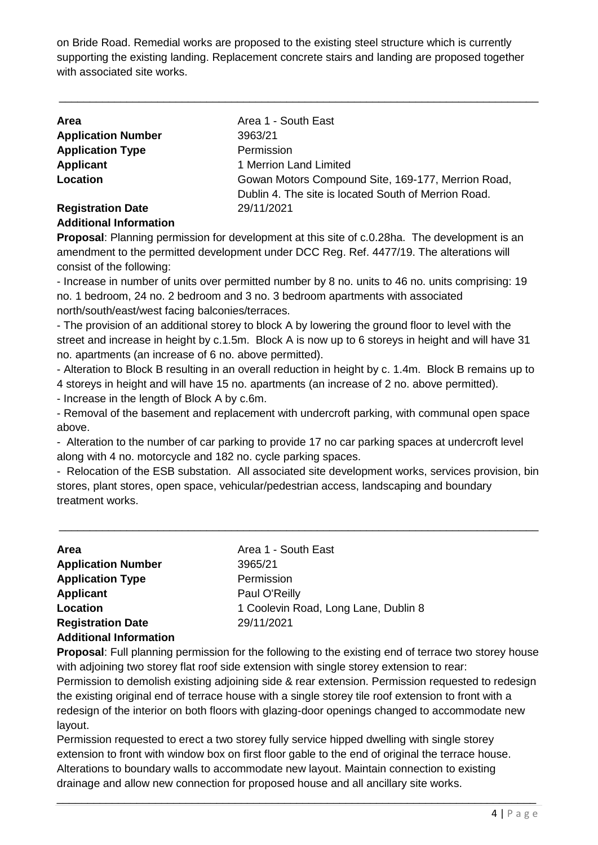on Bride Road. Remedial works are proposed to the existing steel structure which is currently supporting the existing landing. Replacement concrete stairs and landing are proposed together with associated site works.

\_\_\_\_\_\_\_\_\_\_\_\_\_\_\_\_\_\_\_\_\_\_\_\_\_\_\_\_\_\_\_\_\_\_\_\_\_\_\_\_\_\_\_\_\_\_\_\_\_\_\_\_\_\_\_\_\_\_\_\_\_\_\_\_\_\_\_\_\_\_\_\_\_\_\_\_\_\_

| <b>Area</b>               | Area 1 - South East                                  |
|---------------------------|------------------------------------------------------|
| <b>Application Number</b> | 3963/21                                              |
| <b>Application Type</b>   | Permission                                           |
| Applicant                 | 1 Merrion Land Limited                               |
| Location                  | Gowan Motors Compound Site, 169-177, Merrion Road,   |
|                           | Dublin 4. The site is located South of Merrion Road. |
| <b>Registration Date</b>  | 29/11/2021                                           |

#### **Additional Information**

**Proposal**: Planning permission for development at this site of c.0.28ha. The development is an amendment to the permitted development under DCC Reg. Ref. 4477/19. The alterations will consist of the following:

- Increase in number of units over permitted number by 8 no. units to 46 no. units comprising: 19 no. 1 bedroom, 24 no. 2 bedroom and 3 no. 3 bedroom apartments with associated north/south/east/west facing balconies/terraces.

- The provision of an additional storey to block A by lowering the ground floor to level with the street and increase in height by c.1.5m. Block A is now up to 6 storeys in height and will have 31 no. apartments (an increase of 6 no. above permitted).

- Alteration to Block B resulting in an overall reduction in height by c. 1.4m. Block B remains up to 4 storeys in height and will have 15 no. apartments (an increase of 2 no. above permitted).

- Increase in the length of Block A by c.6m.

- Removal of the basement and replacement with undercroft parking, with communal open space above.

- Alteration to the number of car parking to provide 17 no car parking spaces at undercroft level along with 4 no. motorcycle and 182 no. cycle parking spaces.

- Relocation of the ESB substation. All associated site development works, services provision, bin stores, plant stores, open space, vehicular/pedestrian access, landscaping and boundary treatment works.

\_\_\_\_\_\_\_\_\_\_\_\_\_\_\_\_\_\_\_\_\_\_\_\_\_\_\_\_\_\_\_\_\_\_\_\_\_\_\_\_\_\_\_\_\_\_\_\_\_\_\_\_\_\_\_\_\_\_\_\_\_\_\_\_\_\_\_\_\_\_\_\_\_\_\_\_\_\_

| <b>Area</b>                   | Area 1 - South East                  |
|-------------------------------|--------------------------------------|
| <b>Application Number</b>     | 3965/21                              |
| <b>Application Type</b>       | Permission                           |
| <b>Applicant</b>              | Paul O'Reilly                        |
| Location                      | 1 Coolevin Road, Long Lane, Dublin 8 |
| <b>Registration Date</b>      | 29/11/2021                           |
| <b>Additional Information</b> |                                      |

**Proposal**: Full planning permission for the following to the existing end of terrace two storey house with adjoining two storey flat roof side extension with single storey extension to rear:

Permission to demolish existing adjoining side & rear extension. Permission requested to redesign the existing original end of terrace house with a single storey tile roof extension to front with a redesign of the interior on both floors with glazing-door openings changed to accommodate new layout.

Permission requested to erect a two storey fully service hipped dwelling with single storey extension to front with window box on first floor gable to the end of original the terrace house. Alterations to boundary walls to accommodate new layout. Maintain connection to existing drainage and allow new connection for proposed house and all ancillary site works.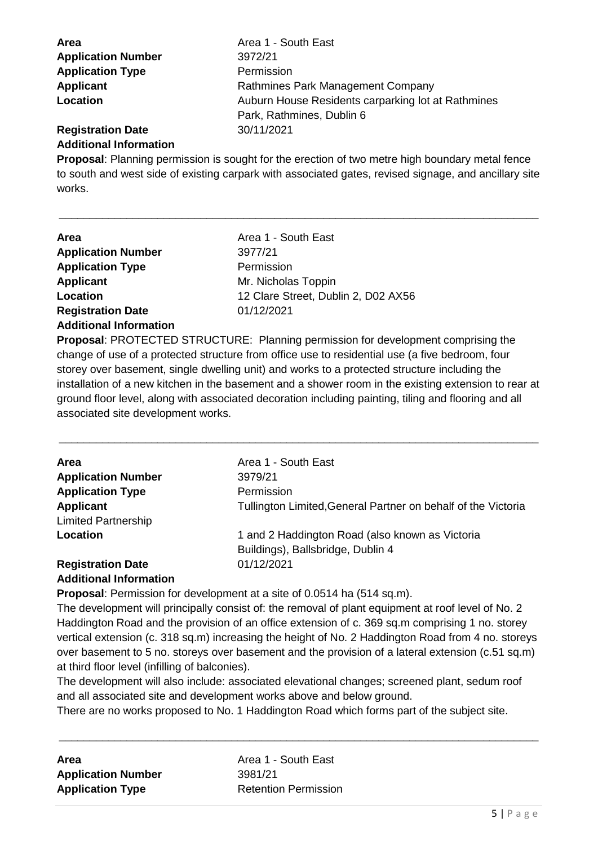| Area                          | Area 1 - South East                                |
|-------------------------------|----------------------------------------------------|
| <b>Application Number</b>     | 3972/21                                            |
| <b>Application Type</b>       | Permission                                         |
| <b>Applicant</b>              | Rathmines Park Management Company                  |
| Location                      | Auburn House Residents carparking lot at Rathmines |
|                               | Park, Rathmines, Dublin 6                          |
| <b>Registration Date</b>      | 30/11/2021                                         |
| <b>Additional Information</b> |                                                    |

**Proposal**: Planning permission is sought for the erection of two metre high boundary metal fence to south and west side of existing carpark with associated gates, revised signage, and ancillary site works.

\_\_\_\_\_\_\_\_\_\_\_\_\_\_\_\_\_\_\_\_\_\_\_\_\_\_\_\_\_\_\_\_\_\_\_\_\_\_\_\_\_\_\_\_\_\_\_\_\_\_\_\_\_\_\_\_\_\_\_\_\_\_\_\_\_\_\_\_\_\_\_\_\_\_\_\_\_\_

| Area                          | Area 1 - South East                 |
|-------------------------------|-------------------------------------|
| <b>Application Number</b>     | 3977/21                             |
| <b>Application Type</b>       | Permission                          |
| <b>Applicant</b>              | Mr. Nicholas Toppin                 |
| Location                      | 12 Clare Street, Dublin 2, D02 AX56 |
| <b>Registration Date</b>      | 01/12/2021                          |
| <b>Additional Information</b> |                                     |

**Proposal**: PROTECTED STRUCTURE: Planning permission for development comprising the change of use of a protected structure from office use to residential use (a five bedroom, four storey over basement, single dwelling unit) and works to a protected structure including the installation of a new kitchen in the basement and a shower room in the existing extension to rear at ground floor level, along with associated decoration including painting, tiling and flooring and all associated site development works.

\_\_\_\_\_\_\_\_\_\_\_\_\_\_\_\_\_\_\_\_\_\_\_\_\_\_\_\_\_\_\_\_\_\_\_\_\_\_\_\_\_\_\_\_\_\_\_\_\_\_\_\_\_\_\_\_\_\_\_\_\_\_\_\_\_\_\_\_\_\_\_\_\_\_\_\_\_\_

| <b>Area</b>                | Area 1 - South East                                           |
|----------------------------|---------------------------------------------------------------|
| <b>Application Number</b>  | 3979/21                                                       |
| <b>Application Type</b>    | Permission                                                    |
| Applicant                  | Tullington Limited, General Partner on behalf of the Victoria |
| <b>Limited Partnership</b> |                                                               |
| Location                   | 1 and 2 Haddington Road (also known as Victoria               |
|                            | Buildings), Ballsbridge, Dublin 4                             |
| <b>Registration Date</b>   | 01/12/2021                                                    |
| Additional Information     |                                                               |

### **Additional Information**

**Proposal**: Permission for development at a site of 0.0514 ha (514 sq.m).

The development will principally consist of: the removal of plant equipment at roof level of No. 2 Haddington Road and the provision of an office extension of c. 369 sq.m comprising 1 no. storey vertical extension (c. 318 sq.m) increasing the height of No. 2 Haddington Road from 4 no. storeys over basement to 5 no. storeys over basement and the provision of a lateral extension (c.51 sq.m) at third floor level (infilling of balconies).

The development will also include: associated elevational changes; screened plant, sedum roof and all associated site and development works above and below ground.

There are no works proposed to No. 1 Haddington Road which forms part of the subject site.

| Area                      |  |
|---------------------------|--|
| <b>Application Number</b> |  |
| <b>Application Type</b>   |  |

**Area** Area 1 - South East **Application Number** 3981/21 **Retention Permission**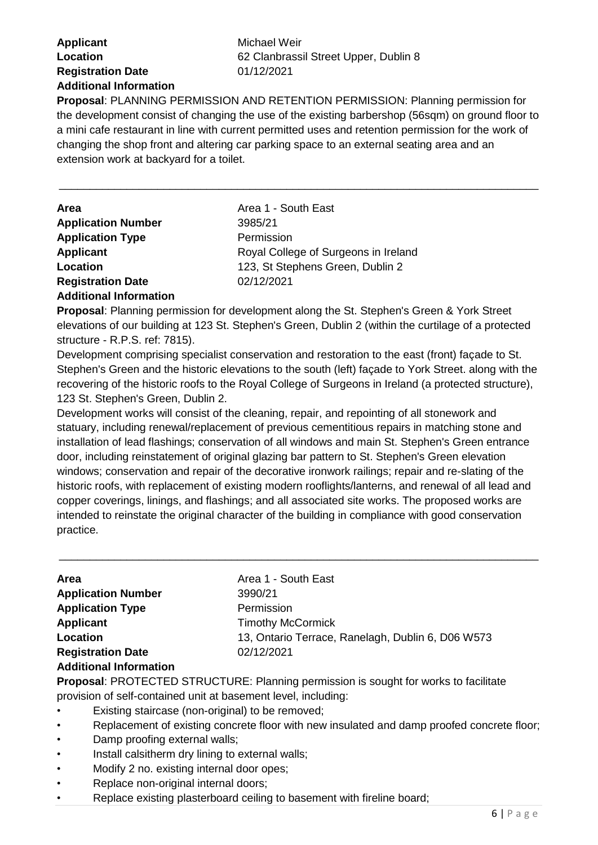### **Applicant** Michael Weir **Registration Date** 01/12/2021 **Additional Information**

**Location** 62 Clanbrassil Street Upper, Dublin 8

**Proposal**: PLANNING PERMISSION AND RETENTION PERMISSION: Planning permission for the development consist of changing the use of the existing barbershop (56sqm) on ground floor to a mini cafe restaurant in line with current permitted uses and retention permission for the work of changing the shop front and altering car parking space to an external seating area and an extension work at backyard for a toilet.

\_\_\_\_\_\_\_\_\_\_\_\_\_\_\_\_\_\_\_\_\_\_\_\_\_\_\_\_\_\_\_\_\_\_\_\_\_\_\_\_\_\_\_\_\_\_\_\_\_\_\_\_\_\_\_\_\_\_\_\_\_\_\_\_\_\_\_\_\_\_\_\_\_\_\_\_\_\_

| <b>Area</b>               | Area 1 - South East                  |
|---------------------------|--------------------------------------|
| <b>Application Number</b> | 3985/21                              |
| <b>Application Type</b>   | Permission                           |
| <b>Applicant</b>          | Royal College of Surgeons in Ireland |
| Location                  | 123, St Stephens Green, Dublin 2     |
| <b>Registration Date</b>  | 02/12/2021                           |

#### **Additional Information**

**Proposal**: Planning permission for development along the St. Stephen's Green & York Street elevations of our building at 123 St. Stephen's Green, Dublin 2 (within the curtilage of a protected structure - R.P.S. ref: 7815).

Development comprising specialist conservation and restoration to the east (front) façade to St. Stephen's Green and the historic elevations to the south (left) façade to York Street. along with the recovering of the historic roofs to the Royal College of Surgeons in Ireland (a protected structure), 123 St. Stephen's Green, Dublin 2.

Development works will consist of the cleaning, repair, and repointing of all stonework and statuary, including renewal/replacement of previous cementitious repairs in matching stone and installation of lead flashings; conservation of all windows and main St. Stephen's Green entrance door, including reinstatement of original glazing bar pattern to St. Stephen's Green elevation windows; conservation and repair of the decorative ironwork railings; repair and re-slating of the historic roofs, with replacement of existing modern rooflights/lanterns, and renewal of all lead and copper coverings, linings, and flashings; and all associated site works. The proposed works are intended to reinstate the original character of the building in compliance with good conservation practice.

\_\_\_\_\_\_\_\_\_\_\_\_\_\_\_\_\_\_\_\_\_\_\_\_\_\_\_\_\_\_\_\_\_\_\_\_\_\_\_\_\_\_\_\_\_\_\_\_\_\_\_\_\_\_\_\_\_\_\_\_\_\_\_\_\_\_\_\_\_\_\_\_\_\_\_\_\_\_

| <b>Area</b>                   | Area 1 - South East                               |
|-------------------------------|---------------------------------------------------|
| <b>Application Number</b>     | 3990/21                                           |
| <b>Application Type</b>       | Permission                                        |
| <b>Applicant</b>              | <b>Timothy McCormick</b>                          |
| Location                      | 13, Ontario Terrace, Ranelagh, Dublin 6, D06 W573 |
| <b>Registration Date</b>      | 02/12/2021                                        |
| <b>Additional Information</b> |                                                   |

#### **Proposal**: PROTECTED STRUCTURE: Planning permission is sought for works to facilitate provision of self-contained unit at basement level, including:

- Existing staircase (non-original) to be removed;
- Replacement of existing concrete floor with new insulated and damp proofed concrete floor;
- Damp proofing external walls;
- Install calsitherm dry lining to external walls;
- Modify 2 no. existing internal door opes;
- Replace non-original internal doors;
- Replace existing plasterboard ceiling to basement with fireline board;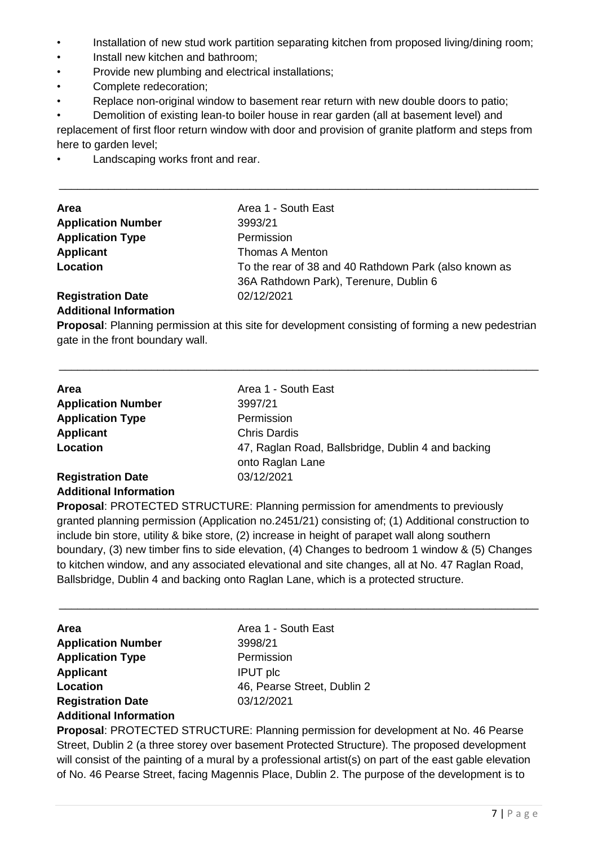- Installation of new stud work partition separating kitchen from proposed living/dining room;
- Install new kitchen and bathroom;
- Provide new plumbing and electrical installations;
- Complete redecoration;
- Replace non-original window to basement rear return with new double doors to patio;

• Demolition of existing lean-to boiler house in rear garden (all at basement level) and replacement of first floor return window with door and provision of granite platform and steps from here to garden level;

\_\_\_\_\_\_\_\_\_\_\_\_\_\_\_\_\_\_\_\_\_\_\_\_\_\_\_\_\_\_\_\_\_\_\_\_\_\_\_\_\_\_\_\_\_\_\_\_\_\_\_\_\_\_\_\_\_\_\_\_\_\_\_\_\_\_\_\_\_\_\_\_\_\_\_\_\_\_

Landscaping works front and rear.

| Area                      | Area 1 - South East                                   |
|---------------------------|-------------------------------------------------------|
| <b>Application Number</b> | 3993/21                                               |
| <b>Application Type</b>   | Permission                                            |
| Applicant                 | Thomas A Menton                                       |
| Location                  | To the rear of 38 and 40 Rathdown Park (also known as |
|                           | 36A Rathdown Park), Terenure, Dublin 6                |
| <b>Registration Date</b>  | 02/12/2021                                            |
|                           |                                                       |

### **Additional Information**

**Proposal**: Planning permission at this site for development consisting of forming a new pedestrian gate in the front boundary wall.

\_\_\_\_\_\_\_\_\_\_\_\_\_\_\_\_\_\_\_\_\_\_\_\_\_\_\_\_\_\_\_\_\_\_\_\_\_\_\_\_\_\_\_\_\_\_\_\_\_\_\_\_\_\_\_\_\_\_\_\_\_\_\_\_\_\_\_\_\_\_\_\_\_\_\_\_\_\_

| <b>Area</b>                   | Area 1 - South East                                |
|-------------------------------|----------------------------------------------------|
| <b>Application Number</b>     | 3997/21                                            |
| <b>Application Type</b>       | Permission                                         |
| Applicant                     | <b>Chris Dardis</b>                                |
| Location                      | 47, Raglan Road, Ballsbridge, Dublin 4 and backing |
|                               | onto Raglan Lane                                   |
| <b>Registration Date</b>      | 03/12/2021                                         |
| <b>Additional Information</b> |                                                    |

**Proposal**: PROTECTED STRUCTURE: Planning permission for amendments to previously granted planning permission (Application no.2451/21) consisting of; (1) Additional construction to include bin store, utility & bike store, (2) increase in height of parapet wall along southern boundary, (3) new timber fins to side elevation, (4) Changes to bedroom 1 window & (5) Changes to kitchen window, and any associated elevational and site changes, all at No. 47 Raglan Road, Ballsbridge, Dublin 4 and backing onto Raglan Lane, which is a protected structure.

\_\_\_\_\_\_\_\_\_\_\_\_\_\_\_\_\_\_\_\_\_\_\_\_\_\_\_\_\_\_\_\_\_\_\_\_\_\_\_\_\_\_\_\_\_\_\_\_\_\_\_\_\_\_\_\_\_\_\_\_\_\_\_\_\_\_\_\_\_\_\_\_\_\_\_\_\_\_

| Area                          | Area 1 - South East         |
|-------------------------------|-----------------------------|
| <b>Application Number</b>     | 3998/21                     |
| <b>Application Type</b>       | Permission                  |
| Applicant                     | <b>IPUT</b> plc             |
| Location                      | 46, Pearse Street, Dublin 2 |
| <b>Registration Date</b>      | 03/12/2021                  |
| <b>Additional Information</b> |                             |

**Proposal**: PROTECTED STRUCTURE: Planning permission for development at No. 46 Pearse Street, Dublin 2 (a three storey over basement Protected Structure). The proposed development will consist of the painting of a mural by a professional artist(s) on part of the east gable elevation of No. 46 Pearse Street, facing Magennis Place, Dublin 2. The purpose of the development is to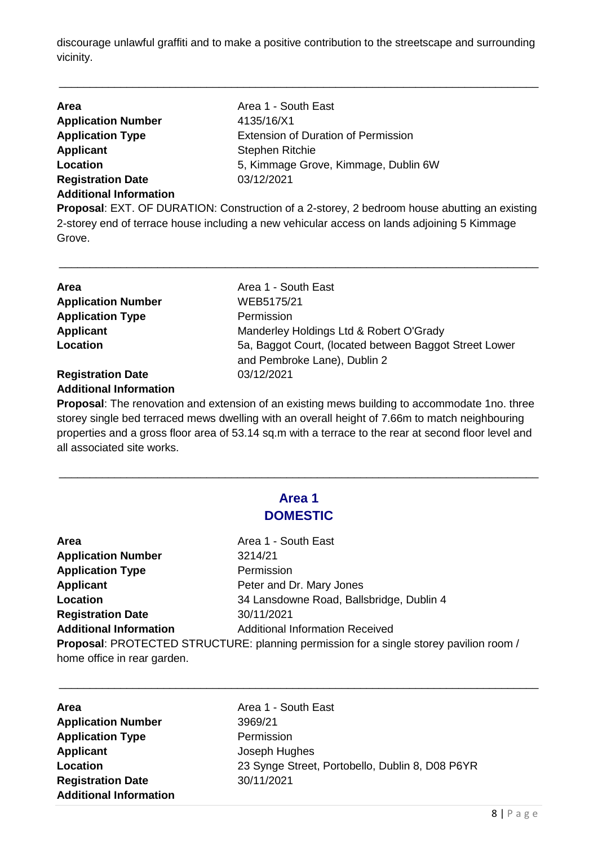discourage unlawful graffiti and to make a positive contribution to the streetscape and surrounding vicinity.

\_\_\_\_\_\_\_\_\_\_\_\_\_\_\_\_\_\_\_\_\_\_\_\_\_\_\_\_\_\_\_\_\_\_\_\_\_\_\_\_\_\_\_\_\_\_\_\_\_\_\_\_\_\_\_\_\_\_\_\_\_\_\_\_\_\_\_\_\_\_\_\_\_\_\_\_\_\_

| <b>Area</b>                   | Area 1 - South East                                                                                 |
|-------------------------------|-----------------------------------------------------------------------------------------------------|
| <b>Application Number</b>     | 4135/16/X1                                                                                          |
| <b>Application Type</b>       | <b>Extension of Duration of Permission</b>                                                          |
| Applicant                     | <b>Stephen Ritchie</b>                                                                              |
| Location                      | 5, Kimmage Grove, Kimmage, Dublin 6W                                                                |
| <b>Registration Date</b>      | 03/12/2021                                                                                          |
| <b>Additional Information</b> |                                                                                                     |
|                               | <b>Proposal:</b> EXT, OF DUPATION: Construction of a 2-storous 2 hodroom bouse abutting an existing |

**Proposal**: EXT. OF DURATION: Construction of a 2-storey, 2 bedroom house abutting an existing 2-storey end of terrace house including a new vehicular access on lands adjoining 5 Kimmage Grove.

\_\_\_\_\_\_\_\_\_\_\_\_\_\_\_\_\_\_\_\_\_\_\_\_\_\_\_\_\_\_\_\_\_\_\_\_\_\_\_\_\_\_\_\_\_\_\_\_\_\_\_\_\_\_\_\_\_\_\_\_\_\_\_\_\_\_\_\_\_\_\_\_\_\_\_\_\_\_

| <b>Area</b>               | Area 1 - South East                                    |
|---------------------------|--------------------------------------------------------|
| <b>Application Number</b> | WEB5175/21                                             |
| <b>Application Type</b>   | Permission                                             |
| <b>Applicant</b>          | Manderley Holdings Ltd & Robert O'Grady                |
| Location                  | 5a, Baggot Court, (located between Baggot Street Lower |
|                           | and Pembroke Lane), Dublin 2                           |
| <b>Registration Date</b>  | 03/12/2021                                             |
|                           |                                                        |

### **Additional Information**

**Proposal**: The renovation and extension of an existing mews building to accommodate 1no. three storey single bed terraced mews dwelling with an overall height of 7.66m to match neighbouring properties and a gross floor area of 53.14 sq.m with a terrace to the rear at second floor level and all associated site works.

| Area 1          |
|-----------------|
| <b>DOMESTIC</b> |

\_\_\_\_\_\_\_\_\_\_\_\_\_\_\_\_\_\_\_\_\_\_\_\_\_\_\_\_\_\_\_\_\_\_\_\_\_\_\_\_\_\_\_\_\_\_\_\_\_\_\_\_\_\_\_\_\_\_\_\_\_\_\_\_\_\_\_\_\_\_\_\_\_\_\_\_\_\_

| Area                          | Area 1 - South East                                                                    |
|-------------------------------|----------------------------------------------------------------------------------------|
| <b>Application Number</b>     | 3214/21                                                                                |
| <b>Application Type</b>       | Permission                                                                             |
| <b>Applicant</b>              | Peter and Dr. Mary Jones                                                               |
| Location                      | 34 Lansdowne Road, Ballsbridge, Dublin 4                                               |
| <b>Registration Date</b>      | 30/11/2021                                                                             |
| <b>Additional Information</b> | <b>Additional Information Received</b>                                                 |
|                               | Proposal: PROTECTED STRUCTURE: planning permission for a single storey pavilion room / |
| home office in rear garden.   |                                                                                        |

| <b>Area</b>                   | Area 1 - South East                             |
|-------------------------------|-------------------------------------------------|
| <b>Application Number</b>     | 3969/21                                         |
| <b>Application Type</b>       | Permission                                      |
| <b>Applicant</b>              | Joseph Hughes                                   |
| Location                      | 23 Synge Street, Portobello, Dublin 8, D08 P6YR |
| <b>Registration Date</b>      | 30/11/2021                                      |
| <b>Additional Information</b> |                                                 |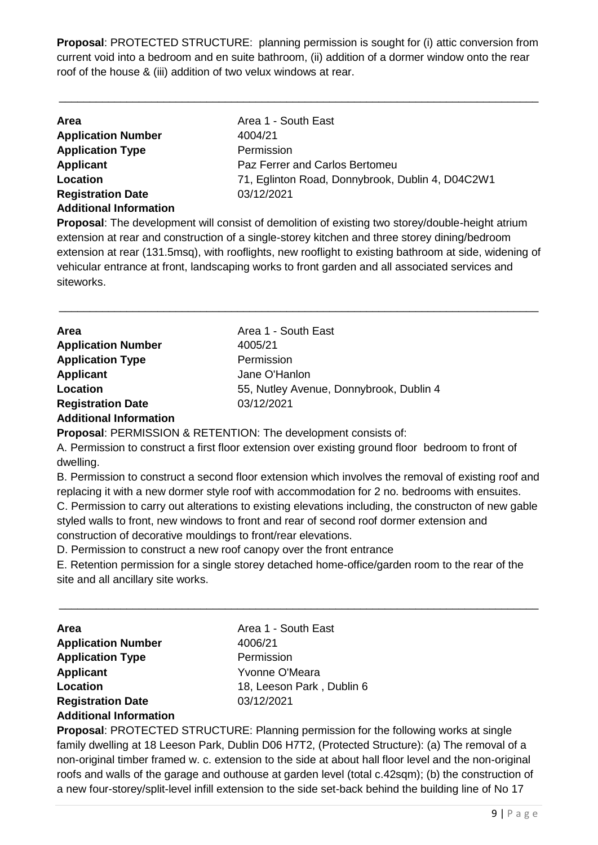**Proposal**: PROTECTED STRUCTURE: planning permission is sought for (i) attic conversion from current void into a bedroom and en suite bathroom, (ii) addition of a dormer window onto the rear roof of the house & (iii) addition of two velux windows at rear.

\_\_\_\_\_\_\_\_\_\_\_\_\_\_\_\_\_\_\_\_\_\_\_\_\_\_\_\_\_\_\_\_\_\_\_\_\_\_\_\_\_\_\_\_\_\_\_\_\_\_\_\_\_\_\_\_\_\_\_\_\_\_\_\_\_\_\_\_\_\_\_\_\_\_\_\_\_\_

| <b>Area</b>                   | Area 1 - South East                              |
|-------------------------------|--------------------------------------------------|
| <b>Application Number</b>     | 4004/21                                          |
| <b>Application Type</b>       | Permission                                       |
| Applicant                     | Paz Ferrer and Carlos Bertomeu                   |
| Location                      | 71, Eglinton Road, Donnybrook, Dublin 4, D04C2W1 |
| <b>Registration Date</b>      | 03/12/2021                                       |
| <b>Additional Information</b> |                                                  |

**Proposal**: The development will consist of demolition of existing two storey/double-height atrium extension at rear and construction of a single-storey kitchen and three storey dining/bedroom extension at rear (131.5msq), with rooflights, new rooflight to existing bathroom at side, widening of vehicular entrance at front, landscaping works to front garden and all associated services and siteworks.

\_\_\_\_\_\_\_\_\_\_\_\_\_\_\_\_\_\_\_\_\_\_\_\_\_\_\_\_\_\_\_\_\_\_\_\_\_\_\_\_\_\_\_\_\_\_\_\_\_\_\_\_\_\_\_\_\_\_\_\_\_\_\_\_\_\_\_\_\_\_\_\_\_\_\_\_\_\_

| Area                          | Area 1 - South East                     |
|-------------------------------|-----------------------------------------|
| <b>Application Number</b>     | 4005/21                                 |
| <b>Application Type</b>       | Permission                              |
| <b>Applicant</b>              | Jane O'Hanlon                           |
| Location                      | 55, Nutley Avenue, Donnybrook, Dublin 4 |
| <b>Registration Date</b>      | 03/12/2021                              |
| <b>Additional Information</b> |                                         |

**Proposal**: PERMISSION & RETENTION: The development consists of:

A. Permission to construct a first floor extension over existing ground floor bedroom to front of dwelling.

B. Permission to construct a second floor extension which involves the removal of existing roof and replacing it with a new dormer style roof with accommodation for 2 no. bedrooms with ensuites.

C. Permission to carry out alterations to existing elevations including, the constructon of new gable styled walls to front, new windows to front and rear of second roof dormer extension and construction of decorative mouldings to front/rear elevations.

D. Permission to construct a new roof canopy over the front entrance

E. Retention permission for a single storey detached home-office/garden room to the rear of the site and all ancillary site works.

\_\_\_\_\_\_\_\_\_\_\_\_\_\_\_\_\_\_\_\_\_\_\_\_\_\_\_\_\_\_\_\_\_\_\_\_\_\_\_\_\_\_\_\_\_\_\_\_\_\_\_\_\_\_\_\_\_\_\_\_\_\_\_\_\_\_\_\_\_\_\_\_\_\_\_\_\_\_

| <b>Area</b>                   | Area 1 - South East       |
|-------------------------------|---------------------------|
| <b>Application Number</b>     | 4006/21                   |
| <b>Application Type</b>       | Permission                |
| <b>Applicant</b>              | Yvonne O'Meara            |
| Location                      | 18, Leeson Park, Dublin 6 |
| <b>Registration Date</b>      | 03/12/2021                |
| <b>Additional Information</b> |                           |

**Proposal**: PROTECTED STRUCTURE: Planning permission for the following works at single family dwelling at 18 Leeson Park, Dublin D06 H7T2, (Protected Structure): (a) The removal of a non-original timber framed w. c. extension to the side at about hall floor level and the non-original roofs and walls of the garage and outhouse at garden level (total c.42sqm); (b) the construction of a new four-storey/split-level infill extension to the side set-back behind the building line of No 17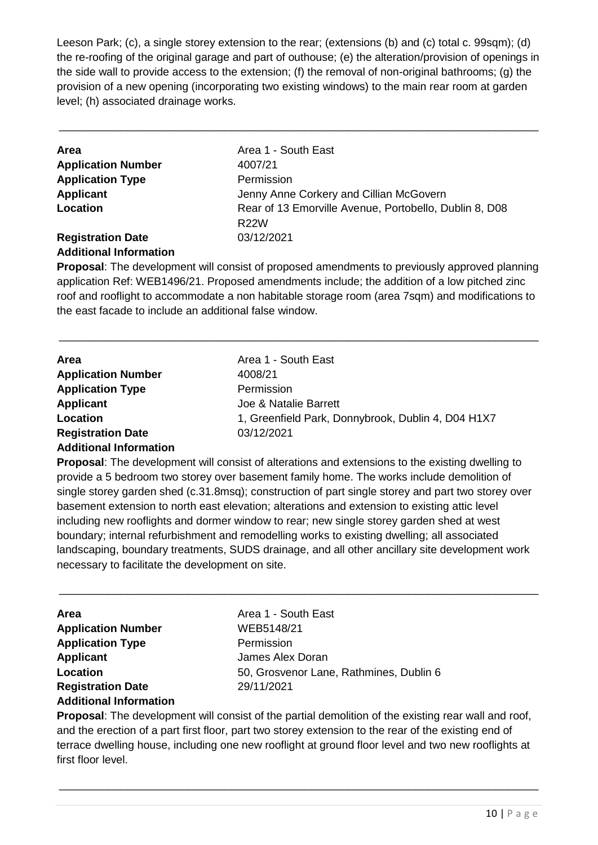Leeson Park; (c), a single storey extension to the rear; (extensions (b) and (c) total c. 99sqm); (d) the re-roofing of the original garage and part of outhouse; (e) the alteration/provision of openings in the side wall to provide access to the extension; (f) the removal of non-original bathrooms; (g) the provision of a new opening (incorporating two existing windows) to the main rear room at garden level; (h) associated drainage works.

\_\_\_\_\_\_\_\_\_\_\_\_\_\_\_\_\_\_\_\_\_\_\_\_\_\_\_\_\_\_\_\_\_\_\_\_\_\_\_\_\_\_\_\_\_\_\_\_\_\_\_\_\_\_\_\_\_\_\_\_\_\_\_\_\_\_\_\_\_\_\_\_\_\_\_\_\_\_

| <b>Area</b>               | Area 1 - South East                                    |
|---------------------------|--------------------------------------------------------|
| <b>Application Number</b> | 4007/21                                                |
| <b>Application Type</b>   | Permission                                             |
| <b>Applicant</b>          | Jenny Anne Corkery and Cillian McGovern                |
| Location                  | Rear of 13 Emorville Avenue, Portobello, Dublin 8, D08 |
|                           | <b>R22W</b>                                            |
| <b>Registration Date</b>  | 03/12/2021                                             |
|                           |                                                        |

#### **Additional Information**

**Proposal**: The development will consist of proposed amendments to previously approved planning application Ref: WEB1496/21. Proposed amendments include; the addition of a low pitched zinc roof and rooflight to accommodate a non habitable storage room (area 7sqm) and modifications to the east facade to include an additional false window.

\_\_\_\_\_\_\_\_\_\_\_\_\_\_\_\_\_\_\_\_\_\_\_\_\_\_\_\_\_\_\_\_\_\_\_\_\_\_\_\_\_\_\_\_\_\_\_\_\_\_\_\_\_\_\_\_\_\_\_\_\_\_\_\_\_\_\_\_\_\_\_\_\_\_\_\_\_\_

| <b>Area</b>                   | Area 1 - South East                                |
|-------------------------------|----------------------------------------------------|
| <b>Application Number</b>     | 4008/21                                            |
| <b>Application Type</b>       | Permission                                         |
| Applicant                     | Joe & Natalie Barrett                              |
| Location                      | 1, Greenfield Park, Donnybrook, Dublin 4, D04 H1X7 |
| <b>Registration Date</b>      | 03/12/2021                                         |
| <b>Additional Information</b> |                                                    |

**Proposal**: The development will consist of alterations and extensions to the existing dwelling to provide a 5 bedroom two storey over basement family home. The works include demolition of single storey garden shed (c.31.8msq); construction of part single storey and part two storey over basement extension to north east elevation; alterations and extension to existing attic level including new rooflights and dormer window to rear; new single storey garden shed at west boundary; internal refurbishment and remodelling works to existing dwelling; all associated landscaping, boundary treatments, SUDS drainage, and all other ancillary site development work necessary to facilitate the development on site.

\_\_\_\_\_\_\_\_\_\_\_\_\_\_\_\_\_\_\_\_\_\_\_\_\_\_\_\_\_\_\_\_\_\_\_\_\_\_\_\_\_\_\_\_\_\_\_\_\_\_\_\_\_\_\_\_\_\_\_\_\_\_\_\_\_\_\_\_\_\_\_\_\_\_\_\_\_\_

| <b>Area</b>                   | Area 1 - South East                     |
|-------------------------------|-----------------------------------------|
| <b>Application Number</b>     | WEB5148/21                              |
| <b>Application Type</b>       | Permission                              |
| <b>Applicant</b>              | James Alex Doran                        |
| Location                      | 50, Grosvenor Lane, Rathmines, Dublin 6 |
| <b>Registration Date</b>      | 29/11/2021                              |
| <b>Additional Information</b> |                                         |

**Proposal**: The development will consist of the partial demolition of the existing rear wall and roof, and the erection of a part first floor, part two storey extension to the rear of the existing end of terrace dwelling house, including one new rooflight at ground floor level and two new rooflights at first floor level.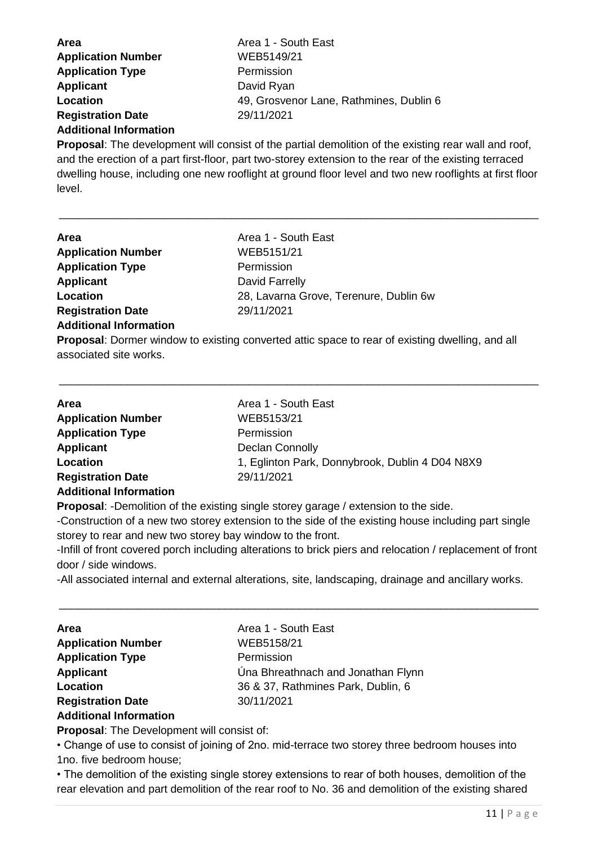| Area 1 - South East                     |
|-----------------------------------------|
| WEB5149/21                              |
| Permission                              |
| David Ryan                              |
| 49, Grosvenor Lane, Rathmines, Dublin 6 |
| 29/11/2021                              |
|                                         |

#### **Additional Information**

**Proposal**: The development will consist of the partial demolition of the existing rear wall and roof, and the erection of a part first-floor, part two-storey extension to the rear of the existing terraced dwelling house, including one new rooflight at ground floor level and two new rooflights at first floor level.

\_\_\_\_\_\_\_\_\_\_\_\_\_\_\_\_\_\_\_\_\_\_\_\_\_\_\_\_\_\_\_\_\_\_\_\_\_\_\_\_\_\_\_\_\_\_\_\_\_\_\_\_\_\_\_\_\_\_\_\_\_\_\_\_\_\_\_\_\_\_\_\_\_\_\_\_\_\_

| <b>Area</b>                   | Area 1 - South East                    |
|-------------------------------|----------------------------------------|
| <b>Application Number</b>     | WEB5151/21                             |
| <b>Application Type</b>       | Permission                             |
| <b>Applicant</b>              | David Farrelly                         |
| Location                      | 28, Lavarna Grove, Terenure, Dublin 6w |
| <b>Registration Date</b>      | 29/11/2021                             |
| <b>Additional Information</b> |                                        |

**Proposal**: Dormer window to existing converted attic space to rear of existing dwelling, and all associated site works.

\_\_\_\_\_\_\_\_\_\_\_\_\_\_\_\_\_\_\_\_\_\_\_\_\_\_\_\_\_\_\_\_\_\_\_\_\_\_\_\_\_\_\_\_\_\_\_\_\_\_\_\_\_\_\_\_\_\_\_\_\_\_\_\_\_\_\_\_\_\_\_\_\_\_\_\_\_\_

| Area                          | Area 1 - South East                             |
|-------------------------------|-------------------------------------------------|
| <b>Application Number</b>     | WEB5153/21                                      |
| <b>Application Type</b>       | Permission                                      |
| <b>Applicant</b>              | <b>Declan Connolly</b>                          |
| Location                      | 1, Eglinton Park, Donnybrook, Dublin 4 D04 N8X9 |
| <b>Registration Date</b>      | 29/11/2021                                      |
| <b>Additional Information</b> |                                                 |
|                               |                                                 |

**Proposal**: -Demolition of the existing single storey garage / extension to the side.

-Construction of a new two storey extension to the side of the existing house including part single storey to rear and new two storey bay window to the front.

-Infill of front covered porch including alterations to brick piers and relocation / replacement of front door / side windows.

\_\_\_\_\_\_\_\_\_\_\_\_\_\_\_\_\_\_\_\_\_\_\_\_\_\_\_\_\_\_\_\_\_\_\_\_\_\_\_\_\_\_\_\_\_\_\_\_\_\_\_\_\_\_\_\_\_\_\_\_\_\_\_\_\_\_\_\_\_\_\_\_\_\_\_\_\_\_

-All associated internal and external alterations, site, landscaping, drainage and ancillary works.

| <b>Area</b>                   | Area 1 - South East                |
|-------------------------------|------------------------------------|
| <b>Application Number</b>     | WEB5158/21                         |
| <b>Application Type</b>       | Permission                         |
| <b>Applicant</b>              | Una Bhreathnach and Jonathan Flynn |
| Location                      | 36 & 37, Rathmines Park, Dublin, 6 |
| <b>Registration Date</b>      | 30/11/2021                         |
| <b>Additional Information</b> |                                    |

**Proposal**: The Development will consist of:

• Change of use to consist of joining of 2no. mid-terrace two storey three bedroom houses into 1no. five bedroom house;

• The demolition of the existing single storey extensions to rear of both houses, demolition of the rear elevation and part demolition of the rear roof to No. 36 and demolition of the existing shared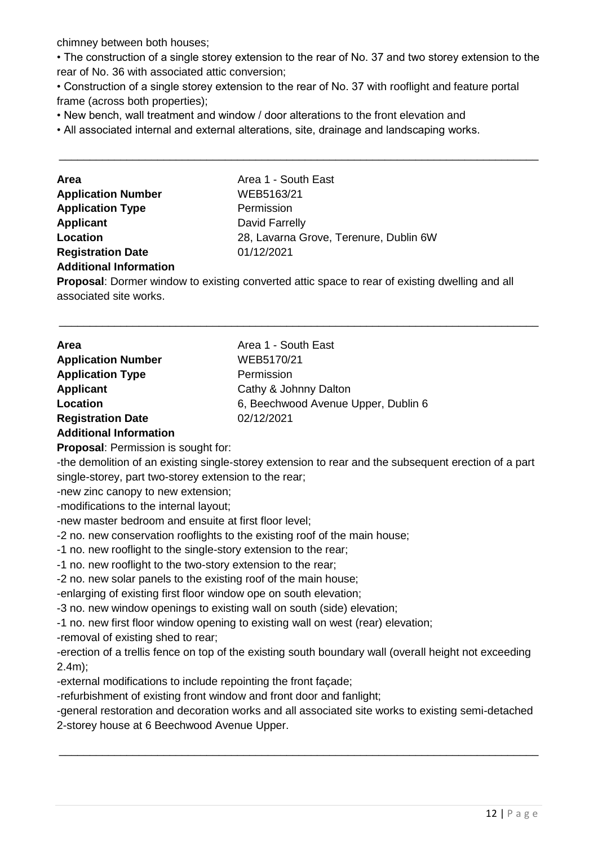chimney between both houses;

• The construction of a single storey extension to the rear of No. 37 and two storey extension to the rear of No. 36 with associated attic conversion;

\_\_\_\_\_\_\_\_\_\_\_\_\_\_\_\_\_\_\_\_\_\_\_\_\_\_\_\_\_\_\_\_\_\_\_\_\_\_\_\_\_\_\_\_\_\_\_\_\_\_\_\_\_\_\_\_\_\_\_\_\_\_\_\_\_\_\_\_\_\_\_\_\_\_\_\_\_\_

• Construction of a single storey extension to the rear of No. 37 with rooflight and feature portal frame (across both properties);

• New bench, wall treatment and window / door alterations to the front elevation and

• All associated internal and external alterations, site, drainage and landscaping works.

| <b>Area</b>                   | Area 1 - South East                    |
|-------------------------------|----------------------------------------|
| <b>Application Number</b>     | WEB5163/21                             |
| <b>Application Type</b>       | Permission                             |
| <b>Applicant</b>              | David Farrelly                         |
| Location                      | 28, Lavarna Grove, Terenure, Dublin 6W |
| <b>Registration Date</b>      | 01/12/2021                             |
| <b>Additional Information</b> |                                        |

**Proposal**: Dormer window to existing converted attic space to rear of existing dwelling and all associated site works.

\_\_\_\_\_\_\_\_\_\_\_\_\_\_\_\_\_\_\_\_\_\_\_\_\_\_\_\_\_\_\_\_\_\_\_\_\_\_\_\_\_\_\_\_\_\_\_\_\_\_\_\_\_\_\_\_\_\_\_\_\_\_\_\_\_\_\_\_\_\_\_\_\_\_\_\_\_\_

| Area                      | Area 1 - South East                 |
|---------------------------|-------------------------------------|
| <b>Application Number</b> | WEB5170/21                          |
| <b>Application Type</b>   | Permission                          |
| <b>Applicant</b>          | Cathy & Johnny Dalton               |
| Location                  | 6, Beechwood Avenue Upper, Dublin 6 |
| <b>Registration Date</b>  | 02/12/2021                          |
|                           |                                     |

#### **Additional Information**

**Proposal**: Permission is sought for:

-the demolition of an existing single-storey extension to rear and the subsequent erection of a part single-storey, part two-storey extension to the rear;

-new zinc canopy to new extension;

-modifications to the internal layout;

-new master bedroom and ensuite at first floor level;

-2 no. new conservation rooflights to the existing roof of the main house;

-1 no. new rooflight to the single-story extension to the rear;

-1 no. new rooflight to the two-story extension to the rear;

-2 no. new solar panels to the existing roof of the main house;

-enlarging of existing first floor window ope on south elevation;

-3 no. new window openings to existing wall on south (side) elevation;

-1 no. new first floor window opening to existing wall on west (rear) elevation;

-removal of existing shed to rear;

-erection of a trellis fence on top of the existing south boundary wall (overall height not exceeding 2.4m);

-external modifications to include repointing the front façade;

-refurbishment of existing front window and front door and fanlight;

-general restoration and decoration works and all associated site works to existing semi-detached 2-storey house at 6 Beechwood Avenue Upper.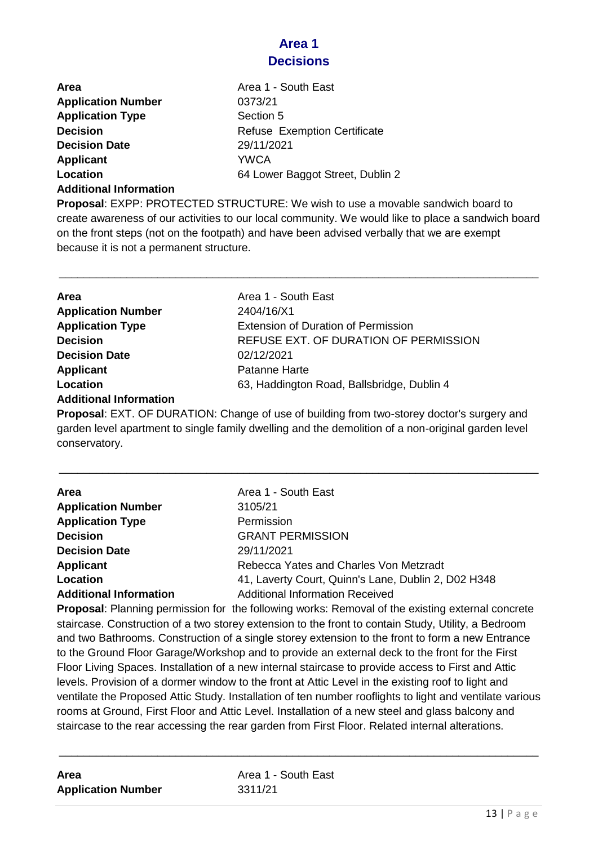### **Area 1 Decisions**

| <b>Area</b>               | Area 1 - South East                 |
|---------------------------|-------------------------------------|
| <b>Application Number</b> | 0373/21                             |
| <b>Application Type</b>   | Section 5                           |
| <b>Decision</b>           | <b>Refuse Exemption Certificate</b> |
| <b>Decision Date</b>      | 29/11/2021                          |
| Applicant                 | <b>YWCA</b>                         |
| Location                  | 64 Lower Baggot Street, Dublin 2    |

**Additional Information**

**Proposal**: EXPP: PROTECTED STRUCTURE: We wish to use a movable sandwich board to create awareness of our activities to our local community. We would like to place a sandwich board on the front steps (not on the footpath) and have been advised verbally that we are exempt because it is not a permanent structure.

\_\_\_\_\_\_\_\_\_\_\_\_\_\_\_\_\_\_\_\_\_\_\_\_\_\_\_\_\_\_\_\_\_\_\_\_\_\_\_\_\_\_\_\_\_\_\_\_\_\_\_\_\_\_\_\_\_\_\_\_\_\_\_\_\_\_\_\_\_\_\_\_\_\_\_\_\_\_

| Area                          | Area 1 - South East                                                                     |
|-------------------------------|-----------------------------------------------------------------------------------------|
| <b>Application Number</b>     | 2404/16/X1                                                                              |
| <b>Application Type</b>       | <b>Extension of Duration of Permission</b>                                              |
| <b>Decision</b>               | REFUSE EXT. OF DURATION OF PERMISSION                                                   |
| <b>Decision Date</b>          | 02/12/2021                                                                              |
| Applicant                     | Patanne Harte                                                                           |
| Location                      | 63, Haddington Road, Ballsbridge, Dublin 4                                              |
| <b>Additional Information</b> |                                                                                         |
|                               | <b>Dranged: EVT OF DUDATION: Change of use of building from two starsy destarle our</b> |

**Proposal**: EXT. OF DURATION: Change of use of building from two-storey doctor's surgery and garden level apartment to single family dwelling and the demolition of a non-original garden level conservatory.

\_\_\_\_\_\_\_\_\_\_\_\_\_\_\_\_\_\_\_\_\_\_\_\_\_\_\_\_\_\_\_\_\_\_\_\_\_\_\_\_\_\_\_\_\_\_\_\_\_\_\_\_\_\_\_\_\_\_\_\_\_\_\_\_\_\_\_\_\_\_\_\_\_\_\_\_\_\_

| Area<br><b>Application Number</b> | Area 1 - South East<br>3105/21                      |
|-----------------------------------|-----------------------------------------------------|
| <b>Application Type</b>           | Permission                                          |
| <b>Decision</b>                   | <b>GRANT PERMISSION</b>                             |
| <b>Decision Date</b>              | 29/11/2021                                          |
| <b>Applicant</b>                  | Rebecca Yates and Charles Von Metzradt              |
| Location                          | 41, Laverty Court, Quinn's Lane, Dublin 2, D02 H348 |
| <b>Additional Information</b>     | <b>Additional Information Received</b>              |

**Proposal**: Planning permission for the following works: Removal of the existing external concrete staircase. Construction of a two storey extension to the front to contain Study, Utility, a Bedroom and two Bathrooms. Construction of a single storey extension to the front to form a new Entrance to the Ground Floor Garage/Workshop and to provide an external deck to the front for the First Floor Living Spaces. Installation of a new internal staircase to provide access to First and Attic levels. Provision of a dormer window to the front at Attic Level in the existing roof to light and ventilate the Proposed Attic Study. Installation of ten number rooflights to light and ventilate various rooms at Ground, First Floor and Attic Level. Installation of a new steel and glass balcony and staircase to the rear accessing the rear garden from First Floor. Related internal alterations.

| Area                      |  |
|---------------------------|--|
| <b>Application Number</b> |  |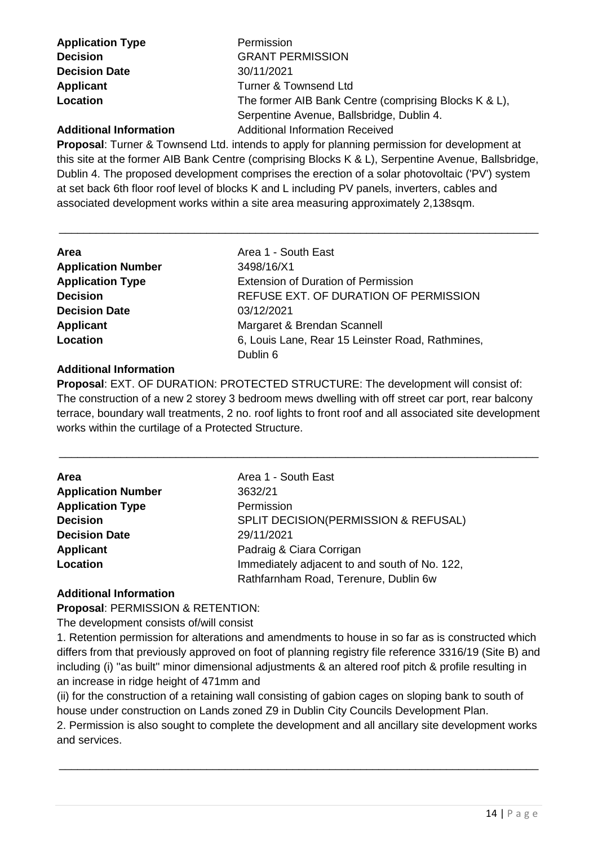**Application Type Permission Decision Date** 30/11/2021

**Decision GRANT PERMISSION Applicant** Turner & Townsend Ltd **Location** The former AIB Bank Centre (comprising Blocks K & L), Serpentine Avenue, Ballsbridge, Dublin 4. **Additional Information** Additional Information Received

**Proposal**: Turner & Townsend Ltd. intends to apply for planning permission for development at this site at the former AIB Bank Centre (comprising Blocks K & L), Serpentine Avenue, Ballsbridge, Dublin 4. The proposed development comprises the erection of a solar photovoltaic ('PV') system at set back 6th floor roof level of blocks K and L including PV panels, inverters, cables and associated development works within a site area measuring approximately 2,138sqm.

\_\_\_\_\_\_\_\_\_\_\_\_\_\_\_\_\_\_\_\_\_\_\_\_\_\_\_\_\_\_\_\_\_\_\_\_\_\_\_\_\_\_\_\_\_\_\_\_\_\_\_\_\_\_\_\_\_\_\_\_\_\_\_\_\_\_\_\_\_\_\_\_\_\_\_\_\_\_

| Area                      | Area 1 - South East                              |
|---------------------------|--------------------------------------------------|
| <b>Application Number</b> | 3498/16/X1                                       |
| <b>Application Type</b>   | <b>Extension of Duration of Permission</b>       |
| <b>Decision</b>           | REFUSE EXT. OF DURATION OF PERMISSION            |
| <b>Decision Date</b>      | 03/12/2021                                       |
| <b>Applicant</b>          | Margaret & Brendan Scannell                      |
| Location                  | 6, Louis Lane, Rear 15 Leinster Road, Rathmines, |
|                           | Dublin 6                                         |

#### **Additional Information**

**Proposal**: EXT. OF DURATION: PROTECTED STRUCTURE: The development will consist of: The construction of a new 2 storey 3 bedroom mews dwelling with off street car port, rear balcony terrace, boundary wall treatments, 2 no. roof lights to front roof and all associated site development works within the curtilage of a Protected Structure.

\_\_\_\_\_\_\_\_\_\_\_\_\_\_\_\_\_\_\_\_\_\_\_\_\_\_\_\_\_\_\_\_\_\_\_\_\_\_\_\_\_\_\_\_\_\_\_\_\_\_\_\_\_\_\_\_\_\_\_\_\_\_\_\_\_\_\_\_\_\_\_\_\_\_\_\_\_\_

| <b>Area</b>               | Area 1 - South East                             |
|---------------------------|-------------------------------------------------|
| <b>Application Number</b> | 3632/21                                         |
| <b>Application Type</b>   | Permission                                      |
| <b>Decision</b>           | <b>SPLIT DECISION(PERMISSION &amp; REFUSAL)</b> |
| <b>Decision Date</b>      | 29/11/2021                                      |
| Applicant                 | Padraig & Ciara Corrigan                        |
| Location                  | Immediately adjacent to and south of No. 122,   |
|                           | Rathfarnham Road, Terenure, Dublin 6w           |

#### **Additional Information**

**Proposal**: PERMISSION & RETENTION:

The development consists of/will consist

1. Retention permission for alterations and amendments to house in so far as is constructed which differs from that previously approved on foot of planning registry file reference 3316/19 (Site B) and including (i) "as built" minor dimensional adjustments & an altered roof pitch & profile resulting in an increase in ridge height of 471mm and

(ii) for the construction of a retaining wall consisting of gabion cages on sloping bank to south of house under construction on Lands zoned Z9 in Dublin City Councils Development Plan.

2. Permission is also sought to complete the development and all ancillary site development works and services.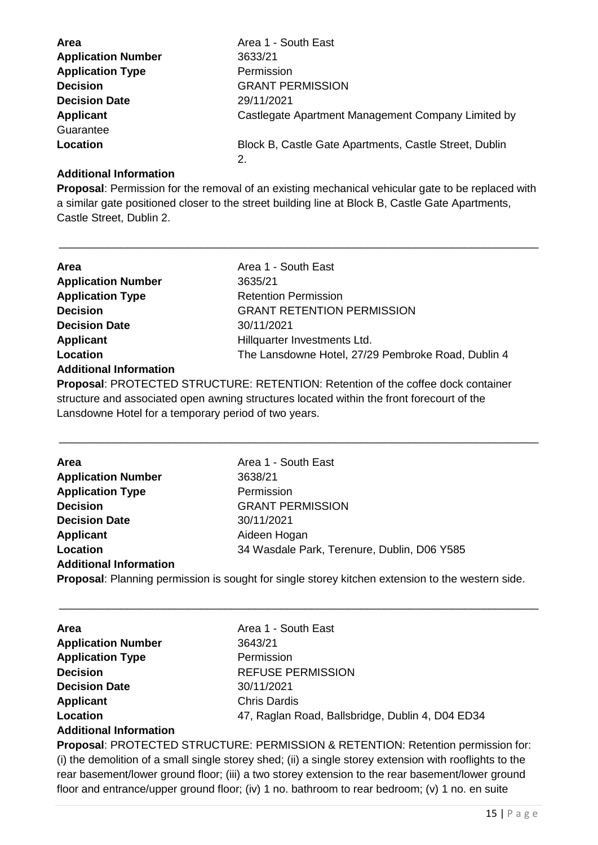| <b>Area</b>               | Area 1 - South East                                    |
|---------------------------|--------------------------------------------------------|
| <b>Application Number</b> | 3633/21                                                |
| <b>Application Type</b>   | Permission                                             |
| <b>Decision</b>           | <b>GRANT PERMISSION</b>                                |
| <b>Decision Date</b>      | 29/11/2021                                             |
| <b>Applicant</b>          | Castlegate Apartment Management Company Limited by     |
| Guarantee                 |                                                        |
| Location                  | Block B, Castle Gate Apartments, Castle Street, Dublin |
|                           |                                                        |

#### **Additional Information**

**Proposal**: Permission for the removal of an existing mechanical vehicular gate to be replaced with a similar gate positioned closer to the street building line at Block B, Castle Gate Apartments, Castle Street, Dublin 2.

\_\_\_\_\_\_\_\_\_\_\_\_\_\_\_\_\_\_\_\_\_\_\_\_\_\_\_\_\_\_\_\_\_\_\_\_\_\_\_\_\_\_\_\_\_\_\_\_\_\_\_\_\_\_\_\_\_\_\_\_\_\_\_\_\_\_\_\_\_\_\_\_\_\_\_\_\_\_

| Area                          | Area 1 - South East                                |
|-------------------------------|----------------------------------------------------|
| <b>Application Number</b>     | 3635/21                                            |
| <b>Application Type</b>       | <b>Retention Permission</b>                        |
| <b>Decision</b>               | <b>GRANT RETENTION PERMISSION</b>                  |
| <b>Decision Date</b>          | 30/11/2021                                         |
| <b>Applicant</b>              | Hillquarter Investments Ltd.                       |
| <b>Location</b>               | The Lansdowne Hotel, 27/29 Pembroke Road, Dublin 4 |
| <b>Additional Information</b> |                                                    |

**Proposal**: PROTECTED STRUCTURE: RETENTION: Retention of the coffee dock container structure and associated open awning structures located within the front forecourt of the Lansdowne Hotel for a temporary period of two years.

\_\_\_\_\_\_\_\_\_\_\_\_\_\_\_\_\_\_\_\_\_\_\_\_\_\_\_\_\_\_\_\_\_\_\_\_\_\_\_\_\_\_\_\_\_\_\_\_\_\_\_\_\_\_\_\_\_\_\_\_\_\_\_\_\_\_\_\_\_\_\_\_\_\_\_\_\_\_

| <b>Area</b>                   | Area 1 - South East                         |
|-------------------------------|---------------------------------------------|
| <b>Application Number</b>     | 3638/21                                     |
| <b>Application Type</b>       | Permission                                  |
| <b>Decision</b>               | <b>GRANT PERMISSION</b>                     |
| <b>Decision Date</b>          | 30/11/2021                                  |
| Applicant                     | Aideen Hogan                                |
| Location                      | 34 Wasdale Park, Terenure, Dublin, D06 Y585 |
| <b>Additional Information</b> |                                             |

**Proposal**: Planning permission is sought for single storey kitchen extension to the western side.

\_\_\_\_\_\_\_\_\_\_\_\_\_\_\_\_\_\_\_\_\_\_\_\_\_\_\_\_\_\_\_\_\_\_\_\_\_\_\_\_\_\_\_\_\_\_\_\_\_\_\_\_\_\_\_\_\_\_\_\_\_\_\_\_\_\_\_\_\_\_\_\_\_\_\_\_\_\_

| <b>Area</b>                   | Area 1 - South East                              |
|-------------------------------|--------------------------------------------------|
| <b>Application Number</b>     | 3643/21                                          |
| <b>Application Type</b>       | Permission                                       |
| <b>Decision</b>               | <b>REFUSE PERMISSION</b>                         |
| <b>Decision Date</b>          | 30/11/2021                                       |
| <b>Applicant</b>              | <b>Chris Dardis</b>                              |
| Location                      | 47, Raglan Road, Ballsbridge, Dublin 4, D04 ED34 |
| <b>Additional Information</b> |                                                  |

**Proposal**: PROTECTED STRUCTURE: PERMISSION & RETENTION: Retention permission for: (i) the demolition of a small single storey shed; (ii) a single storey extension with rooflights to the rear basement/lower ground floor; (iii) a two storey extension to the rear basement/lower ground floor and entrance/upper ground floor; (iv) 1 no. bathroom to rear bedroom; (v) 1 no. en suite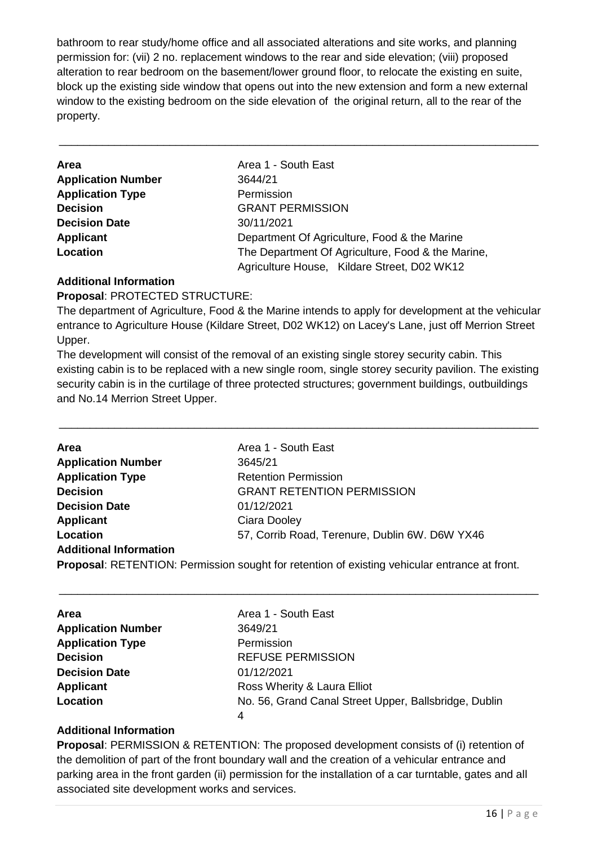bathroom to rear study/home office and all associated alterations and site works, and planning permission for: (vii) 2 no. replacement windows to the rear and side elevation; (viii) proposed alteration to rear bedroom on the basement/lower ground floor, to relocate the existing en suite, block up the existing side window that opens out into the new extension and form a new external window to the existing bedroom on the side elevation of the original return, all to the rear of the property.

\_\_\_\_\_\_\_\_\_\_\_\_\_\_\_\_\_\_\_\_\_\_\_\_\_\_\_\_\_\_\_\_\_\_\_\_\_\_\_\_\_\_\_\_\_\_\_\_\_\_\_\_\_\_\_\_\_\_\_\_\_\_\_\_\_\_\_\_\_\_\_\_\_\_\_\_\_\_

| Area                      | Area 1 - South East                               |
|---------------------------|---------------------------------------------------|
| <b>Application Number</b> | 3644/21                                           |
| <b>Application Type</b>   | Permission                                        |
| <b>Decision</b>           | <b>GRANT PERMISSION</b>                           |
| <b>Decision Date</b>      | 30/11/2021                                        |
| Applicant                 | Department Of Agriculture, Food & the Marine      |
| Location                  | The Department Of Agriculture, Food & the Marine, |
|                           | Agriculture House, Kildare Street, D02 WK12       |

#### **Additional Information**

#### **Proposal**: PROTECTED STRUCTURE:

The department of Agriculture, Food & the Marine intends to apply for development at the vehicular entrance to Agriculture House (Kildare Street, D02 WK12) on Lacey's Lane, just off Merrion Street Upper.

The development will consist of the removal of an existing single storey security cabin. This existing cabin is to be replaced with a new single room, single storey security pavilion. The existing security cabin is in the curtilage of three protected structures; government buildings, outbuildings and No.14 Merrion Street Upper.

\_\_\_\_\_\_\_\_\_\_\_\_\_\_\_\_\_\_\_\_\_\_\_\_\_\_\_\_\_\_\_\_\_\_\_\_\_\_\_\_\_\_\_\_\_\_\_\_\_\_\_\_\_\_\_\_\_\_\_\_\_\_\_\_\_\_\_\_\_\_\_\_\_\_\_\_\_\_

| Area                          | Area 1 - South East                                                                                  |
|-------------------------------|------------------------------------------------------------------------------------------------------|
| <b>Application Number</b>     | 3645/21                                                                                              |
| <b>Application Type</b>       | <b>Retention Permission</b>                                                                          |
| <b>Decision</b>               | <b>GRANT RETENTION PERMISSION</b>                                                                    |
| <b>Decision Date</b>          | 01/12/2021                                                                                           |
| <b>Applicant</b>              | Ciara Dooley                                                                                         |
| Location                      | 57, Corrib Road, Terenure, Dublin 6W. D6W YX46                                                       |
| <b>Additional Information</b> |                                                                                                      |
|                               | <b>Proposal:</b> RETENTION: Permission sought for retention of existing vehicular entrance at front. |
|                               |                                                                                                      |

\_\_\_\_\_\_\_\_\_\_\_\_\_\_\_\_\_\_\_\_\_\_\_\_\_\_\_\_\_\_\_\_\_\_\_\_\_\_\_\_\_\_\_\_\_\_\_\_\_\_\_\_\_\_\_\_\_\_\_\_\_\_\_\_\_\_\_\_\_\_\_\_\_\_\_\_\_\_

| <b>Area</b>               | Area 1 - South East                                   |
|---------------------------|-------------------------------------------------------|
| <b>Application Number</b> | 3649/21                                               |
| <b>Application Type</b>   | Permission                                            |
| <b>Decision</b>           | <b>REFUSE PERMISSION</b>                              |
| <b>Decision Date</b>      | 01/12/2021                                            |
| Applicant                 | Ross Wherity & Laura Elliot                           |
| Location                  | No. 56, Grand Canal Street Upper, Ballsbridge, Dublin |
|                           | 4                                                     |

#### **Additional Information**

**Proposal**: PERMISSION & RETENTION: The proposed development consists of (i) retention of the demolition of part of the front boundary wall and the creation of a vehicular entrance and parking area in the front garden (ii) permission for the installation of a car turntable, gates and all associated site development works and services.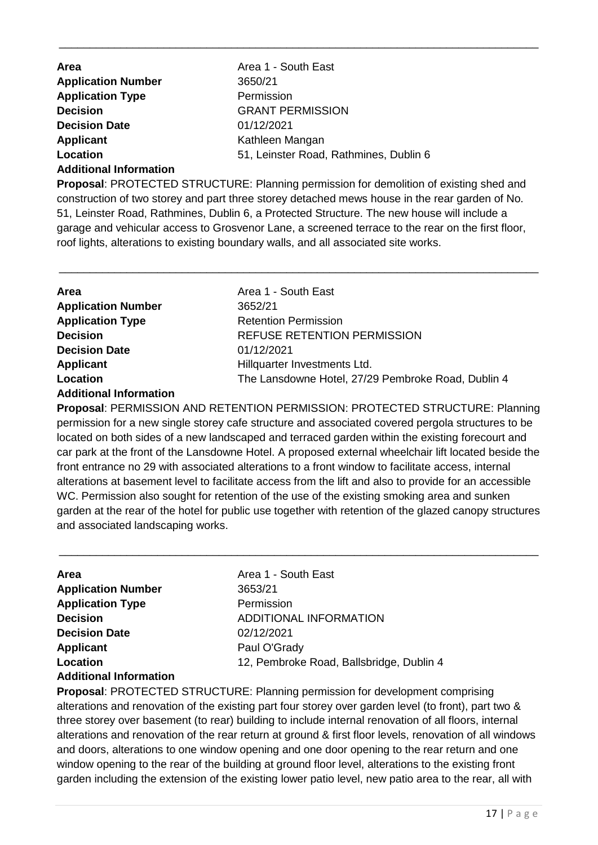| Area                      | Area 1 - South East                    |
|---------------------------|----------------------------------------|
| <b>Application Number</b> | 3650/21                                |
| <b>Application Type</b>   | Permission                             |
| <b>Decision</b>           | <b>GRANT PERMISSION</b>                |
| <b>Decision Date</b>      | 01/12/2021                             |
| <b>Applicant</b>          | Kathleen Mangan                        |
| Location                  | 51, Leinster Road, Rathmines, Dublin 6 |
|                           |                                        |

#### **Additional Information**

**Proposal**: PROTECTED STRUCTURE: Planning permission for demolition of existing shed and construction of two storey and part three storey detached mews house in the rear garden of No. 51, Leinster Road, Rathmines, Dublin 6, a Protected Structure. The new house will include a garage and vehicular access to Grosvenor Lane, a screened terrace to the rear on the first floor, roof lights, alterations to existing boundary walls, and all associated site works.

\_\_\_\_\_\_\_\_\_\_\_\_\_\_\_\_\_\_\_\_\_\_\_\_\_\_\_\_\_\_\_\_\_\_\_\_\_\_\_\_\_\_\_\_\_\_\_\_\_\_\_\_\_\_\_\_\_\_\_\_\_\_\_\_\_\_\_\_\_\_\_\_\_\_\_\_\_\_

\_\_\_\_\_\_\_\_\_\_\_\_\_\_\_\_\_\_\_\_\_\_\_\_\_\_\_\_\_\_\_\_\_\_\_\_\_\_\_\_\_\_\_\_\_\_\_\_\_\_\_\_\_\_\_\_\_\_\_\_\_\_\_\_\_\_\_\_\_\_\_\_\_\_\_\_\_\_

| <b>Area</b>               | Area 1 - South East                                |
|---------------------------|----------------------------------------------------|
| <b>Application Number</b> | 3652/21                                            |
| <b>Application Type</b>   | <b>Retention Permission</b>                        |
| <b>Decision</b>           | <b>REFUSE RETENTION PERMISSION</b>                 |
| <b>Decision Date</b>      | 01/12/2021                                         |
| Applicant                 | Hillquarter Investments Ltd.                       |
| Location                  | The Lansdowne Hotel, 27/29 Pembroke Road, Dublin 4 |
|                           |                                                    |

#### **Additional Information**

**Proposal**: PERMISSION AND RETENTION PERMISSION: PROTECTED STRUCTURE: Planning permission for a new single storey cafe structure and associated covered pergola structures to be located on both sides of a new landscaped and terraced garden within the existing forecourt and car park at the front of the Lansdowne Hotel. A proposed external wheelchair lift located beside the front entrance no 29 with associated alterations to a front window to facilitate access, internal alterations at basement level to facilitate access from the lift and also to provide for an accessible WC. Permission also sought for retention of the use of the existing smoking area and sunken garden at the rear of the hotel for public use together with retention of the glazed canopy structures and associated landscaping works.

\_\_\_\_\_\_\_\_\_\_\_\_\_\_\_\_\_\_\_\_\_\_\_\_\_\_\_\_\_\_\_\_\_\_\_\_\_\_\_\_\_\_\_\_\_\_\_\_\_\_\_\_\_\_\_\_\_\_\_\_\_\_\_\_\_\_\_\_\_\_\_\_\_\_\_\_\_\_

| <b>Area</b>               | Area 1 - South East                      |
|---------------------------|------------------------------------------|
| <b>Application Number</b> | 3653/21                                  |
| <b>Application Type</b>   | Permission                               |
| <b>Decision</b>           | ADDITIONAL INFORMATION                   |
| <b>Decision Date</b>      | 02/12/2021                               |
| <b>Applicant</b>          | Paul O'Grady                             |
| Location                  | 12, Pembroke Road, Ballsbridge, Dublin 4 |
|                           |                                          |

#### **Additional Information**

**Proposal**: PROTECTED STRUCTURE: Planning permission for development comprising alterations and renovation of the existing part four storey over garden level (to front), part two & three storey over basement (to rear) building to include internal renovation of all floors, internal alterations and renovation of the rear return at ground & first floor levels, renovation of all windows and doors, alterations to one window opening and one door opening to the rear return and one window opening to the rear of the building at ground floor level, alterations to the existing front garden including the extension of the existing lower patio level, new patio area to the rear, all with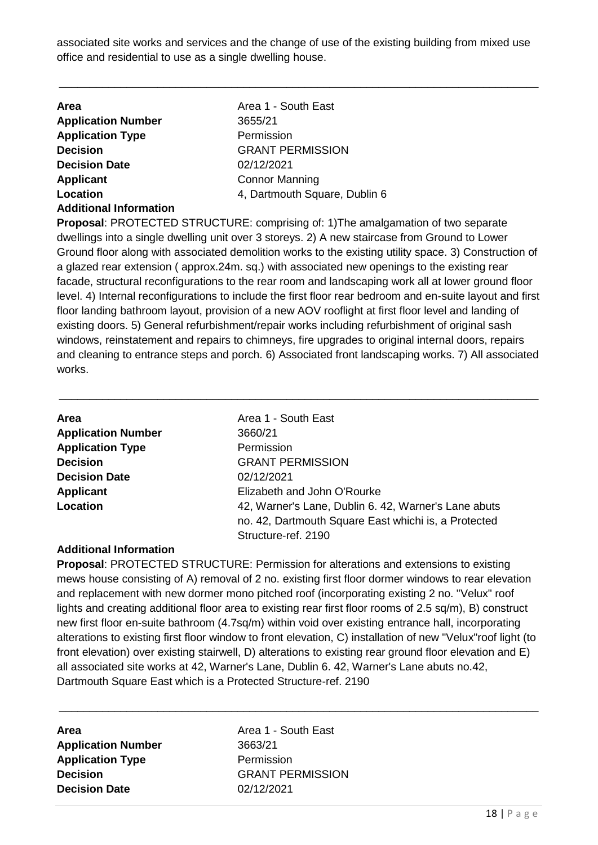associated site works and services and the change of use of the existing building from mixed use office and residential to use as a single dwelling house.

\_\_\_\_\_\_\_\_\_\_\_\_\_\_\_\_\_\_\_\_\_\_\_\_\_\_\_\_\_\_\_\_\_\_\_\_\_\_\_\_\_\_\_\_\_\_\_\_\_\_\_\_\_\_\_\_\_\_\_\_\_\_\_\_\_\_\_\_\_\_\_\_\_\_\_\_\_\_

| <b>Area</b>                   | Area 1 - South East           |
|-------------------------------|-------------------------------|
| <b>Application Number</b>     | 3655/21                       |
| <b>Application Type</b>       | Permission                    |
| <b>Decision</b>               | <b>GRANT PERMISSION</b>       |
| <b>Decision Date</b>          | 02/12/2021                    |
| <b>Applicant</b>              | <b>Connor Manning</b>         |
| Location                      | 4, Dartmouth Square, Dublin 6 |
| <b>Additional Information</b> |                               |

**Proposal**: PROTECTED STRUCTURE: comprising of: 1)The amalgamation of two separate dwellings into a single dwelling unit over 3 storeys. 2) A new staircase from Ground to Lower Ground floor along with associated demolition works to the existing utility space. 3) Construction of a glazed rear extension ( approx.24m. sq.) with associated new openings to the existing rear facade, structural reconfigurations to the rear room and landscaping work all at lower ground floor level. 4) Internal reconfigurations to include the first floor rear bedroom and en-suite layout and first floor landing bathroom layout, provision of a new AOV rooflight at first floor level and landing of existing doors. 5) General refurbishment/repair works including refurbishment of original sash windows, reinstatement and repairs to chimneys, fire upgrades to original internal doors, repairs and cleaning to entrance steps and porch. 6) Associated front landscaping works. 7) All associated works.

\_\_\_\_\_\_\_\_\_\_\_\_\_\_\_\_\_\_\_\_\_\_\_\_\_\_\_\_\_\_\_\_\_\_\_\_\_\_\_\_\_\_\_\_\_\_\_\_\_\_\_\_\_\_\_\_\_\_\_\_\_\_\_\_\_\_\_\_\_\_\_\_\_\_\_\_\_\_

| Area                      | Area 1 - South East                                                                                                                 |
|---------------------------|-------------------------------------------------------------------------------------------------------------------------------------|
| <b>Application Number</b> | 3660/21                                                                                                                             |
| <b>Application Type</b>   | Permission                                                                                                                          |
| <b>Decision</b>           | <b>GRANT PERMISSION</b>                                                                                                             |
| <b>Decision Date</b>      | 02/12/2021                                                                                                                          |
| <b>Applicant</b>          | Elizabeth and John O'Rourke                                                                                                         |
| Location                  | 42, Warner's Lane, Dublin 6. 42, Warner's Lane abuts<br>no. 42, Dartmouth Square East whichi is, a Protected<br>Structure-ref. 2190 |

#### **Additional Information**

**Proposal**: PROTECTED STRUCTURE: Permission for alterations and extensions to existing mews house consisting of A) removal of 2 no. existing first floor dormer windows to rear elevation and replacement with new dormer mono pitched roof (incorporating existing 2 no. "Velux" roof lights and creating additional floor area to existing rear first floor rooms of 2.5 sq/m), B) construct new first floor en-suite bathroom (4.7sq/m) within void over existing entrance hall, incorporating alterations to existing first floor window to front elevation, C) installation of new "Velux"roof light (to front elevation) over existing stairwell, D) alterations to existing rear ground floor elevation and E) all associated site works at 42, Warner's Lane, Dublin 6. 42, Warner's Lane abuts no.42, Dartmouth Square East which is a Protected Structure-ref. 2190

**Area Area 1 - South East Application Number** 3663/21 **Application Type** Permission **Decision** GRANT PERMISSION **Decision Date** 02/12/2021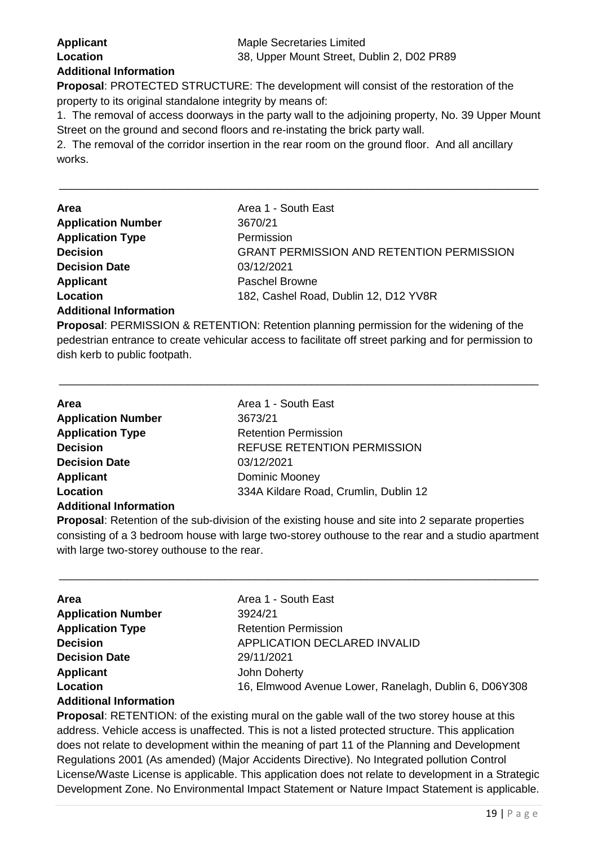**Proposal**: PROTECTED STRUCTURE: The development will consist of the restoration of the property to its original standalone integrity by means of:

1. The removal of access doorways in the party wall to the adjoining property, No. 39 Upper Mount Street on the ground and second floors and re-instating the brick party wall.

\_\_\_\_\_\_\_\_\_\_\_\_\_\_\_\_\_\_\_\_\_\_\_\_\_\_\_\_\_\_\_\_\_\_\_\_\_\_\_\_\_\_\_\_\_\_\_\_\_\_\_\_\_\_\_\_\_\_\_\_\_\_\_\_\_\_\_\_\_\_\_\_\_\_\_\_\_\_

2. The removal of the corridor insertion in the rear room on the ground floor. And all ancillary works.

| Area                          | Area 1 - South East                              |
|-------------------------------|--------------------------------------------------|
| <b>Application Number</b>     | 3670/21                                          |
| <b>Application Type</b>       | Permission                                       |
| <b>Decision</b>               | <b>GRANT PERMISSION AND RETENTION PERMISSION</b> |
| <b>Decision Date</b>          | 03/12/2021                                       |
| <b>Applicant</b>              | <b>Paschel Browne</b>                            |
| Location                      | 182, Cashel Road, Dublin 12, D12 YV8R            |
| <b>Additional Information</b> |                                                  |

**Proposal**: PERMISSION & RETENTION: Retention planning permission for the widening of the pedestrian entrance to create vehicular access to facilitate off street parking and for permission to dish kerb to public footpath.

\_\_\_\_\_\_\_\_\_\_\_\_\_\_\_\_\_\_\_\_\_\_\_\_\_\_\_\_\_\_\_\_\_\_\_\_\_\_\_\_\_\_\_\_\_\_\_\_\_\_\_\_\_\_\_\_\_\_\_\_\_\_\_\_\_\_\_\_\_\_\_\_\_\_\_\_\_\_

| Area                          | Area 1 - South East                   |
|-------------------------------|---------------------------------------|
| <b>Application Number</b>     | 3673/21                               |
| <b>Application Type</b>       | <b>Retention Permission</b>           |
| <b>Decision</b>               | <b>REFUSE RETENTION PERMISSION</b>    |
| <b>Decision Date</b>          | 03/12/2021                            |
| <b>Applicant</b>              | Dominic Mooney                        |
| Location                      | 334A Kildare Road, Crumlin, Dublin 12 |
| <b>Additional Information</b> |                                       |

**Proposal**: Retention of the sub-division of the existing house and site into 2 separate properties consisting of a 3 bedroom house with large two-storey outhouse to the rear and a studio apartment with large two-storey outhouse to the rear.

\_\_\_\_\_\_\_\_\_\_\_\_\_\_\_\_\_\_\_\_\_\_\_\_\_\_\_\_\_\_\_\_\_\_\_\_\_\_\_\_\_\_\_\_\_\_\_\_\_\_\_\_\_\_\_\_\_\_\_\_\_\_\_\_\_\_\_\_\_\_\_\_\_\_\_\_\_\_

| Area                          | Area 1 - South East                                   |
|-------------------------------|-------------------------------------------------------|
| <b>Application Number</b>     | 3924/21                                               |
| <b>Application Type</b>       | <b>Retention Permission</b>                           |
| <b>Decision</b>               | APPLICATION DECLARED INVALID                          |
| <b>Decision Date</b>          | 29/11/2021                                            |
| <b>Applicant</b>              | John Doherty                                          |
| Location                      | 16, Elmwood Avenue Lower, Ranelagh, Dublin 6, D06Y308 |
| <b>Additional Information</b> |                                                       |

**Proposal**: RETENTION: of the existing mural on the gable wall of the two storey house at this address. Vehicle access is unaffected. This is not a listed protected structure. This application does not relate to development within the meaning of part 11 of the Planning and Development Regulations 2001 (As amended) (Major Accidents Directive). No Integrated pollution Control License/Waste License is applicable. This application does not relate to development in a Strategic Development Zone. No Environmental Impact Statement or Nature Impact Statement is applicable.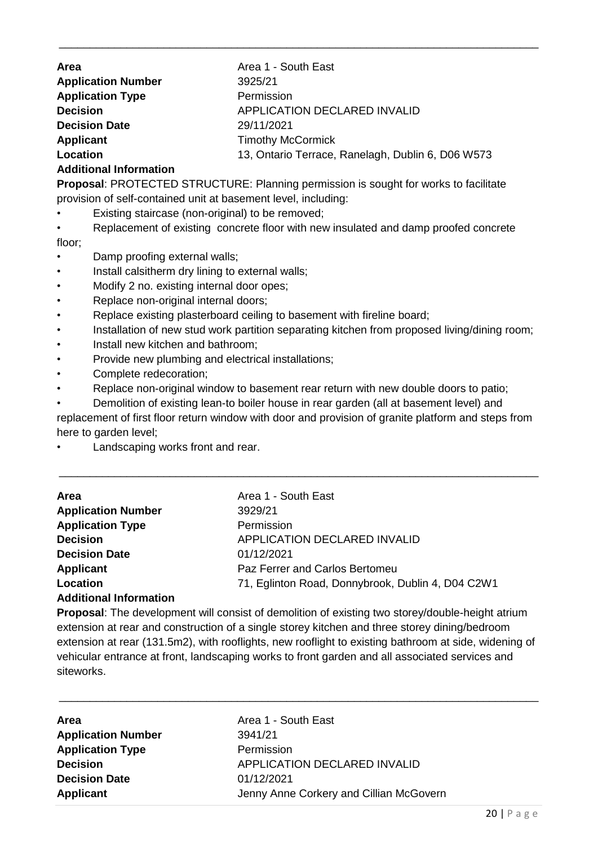**Area Area 1 - South East Application Number** 3925/21 **Application Type** Permission **Decision** APPLICATION DECLARED INVALID **Decision Date** 29/11/2021 **Applicant** Timothy McCormick **Location** 13, Ontario Terrace, Ranelagh, Dublin 6, D06 W573

\_\_\_\_\_\_\_\_\_\_\_\_\_\_\_\_\_\_\_\_\_\_\_\_\_\_\_\_\_\_\_\_\_\_\_\_\_\_\_\_\_\_\_\_\_\_\_\_\_\_\_\_\_\_\_\_\_\_\_\_\_\_\_\_\_\_\_\_\_\_\_\_\_\_\_\_\_\_

#### **Additional Information**

**Proposal**: PROTECTED STRUCTURE: Planning permission is sought for works to facilitate provision of self-contained unit at basement level, including:

Existing staircase (non-original) to be removed;

• Replacement of existing concrete floor with new insulated and damp proofed concrete floor;

- Damp proofing external walls;
- Install calsitherm dry lining to external walls;
- Modify 2 no. existing internal door opes;
- Replace non-original internal doors;
- Replace existing plasterboard ceiling to basement with fireline board;
- Installation of new stud work partition separating kitchen from proposed living/dining room;
- Install new kitchen and bathroom;
- Provide new plumbing and electrical installations;
- Complete redecoration;
- Replace non-original window to basement rear return with new double doors to patio;

• Demolition of existing lean-to boiler house in rear garden (all at basement level) and replacement of first floor return window with door and provision of granite platform and steps from here to garden level;

\_\_\_\_\_\_\_\_\_\_\_\_\_\_\_\_\_\_\_\_\_\_\_\_\_\_\_\_\_\_\_\_\_\_\_\_\_\_\_\_\_\_\_\_\_\_\_\_\_\_\_\_\_\_\_\_\_\_\_\_\_\_\_\_\_\_\_\_\_\_\_\_\_\_\_\_\_\_

Landscaping works front and rear.

| Area                      | Area 1 - South East                               |
|---------------------------|---------------------------------------------------|
| <b>Application Number</b> | 3929/21                                           |
| <b>Application Type</b>   | Permission                                        |
| <b>Decision</b>           | APPLICATION DECLARED INVALID                      |
| <b>Decision Date</b>      | 01/12/2021                                        |
| Applicant                 | Paz Ferrer and Carlos Bertomeu                    |
| Location                  | 71, Eglinton Road, Donnybrook, Dublin 4, D04 C2W1 |
| Additional Information    |                                                   |

#### **Additional Information**

**Proposal**: The development will consist of demolition of existing two storey/double-height atrium extension at rear and construction of a single storey kitchen and three storey dining/bedroom extension at rear (131.5m2), with rooflights, new rooflight to existing bathroom at side, widening of vehicular entrance at front, landscaping works to front garden and all associated services and siteworks.

| <b>Area</b>               | Area 1 - South East                     |
|---------------------------|-----------------------------------------|
| <b>Application Number</b> | 3941/21                                 |
| <b>Application Type</b>   | Permission                              |
| <b>Decision</b>           | APPLICATION DECLARED INVALID            |
| <b>Decision Date</b>      | 01/12/2021                              |
| <b>Applicant</b>          | Jenny Anne Corkery and Cillian McGovern |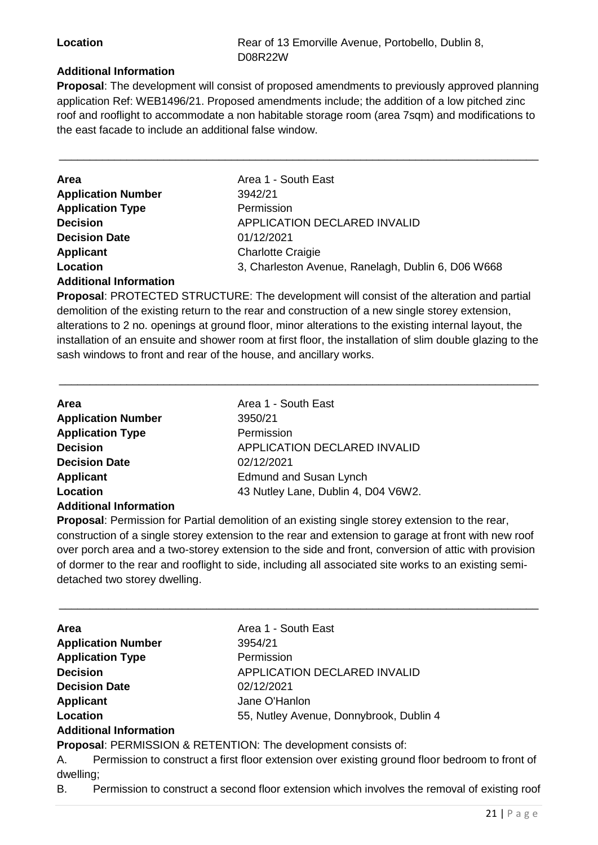**Location Rear of 13 Emorville Avenue, Portobello, Dublin 8, Location** D08R22W

#### **Additional Information**

**Proposal**: The development will consist of proposed amendments to previously approved planning application Ref: WEB1496/21. Proposed amendments include; the addition of a low pitched zinc roof and rooflight to accommodate a non habitable storage room (area 7sqm) and modifications to the east facade to include an additional false window.

\_\_\_\_\_\_\_\_\_\_\_\_\_\_\_\_\_\_\_\_\_\_\_\_\_\_\_\_\_\_\_\_\_\_\_\_\_\_\_\_\_\_\_\_\_\_\_\_\_\_\_\_\_\_\_\_\_\_\_\_\_\_\_\_\_\_\_\_\_\_\_\_\_\_\_\_\_\_

| Area                          | Area 1 - South East                                |
|-------------------------------|----------------------------------------------------|
| <b>Application Number</b>     | 3942/21                                            |
| <b>Application Type</b>       | Permission                                         |
| <b>Decision</b>               | APPLICATION DECLARED INVALID                       |
| <b>Decision Date</b>          | 01/12/2021                                         |
| <b>Applicant</b>              | <b>Charlotte Craigie</b>                           |
| Location                      | 3, Charleston Avenue, Ranelagh, Dublin 6, D06 W668 |
| <b>Additional Information</b> |                                                    |

**Proposal**: PROTECTED STRUCTURE: The development will consist of the alteration and partial demolition of the existing return to the rear and construction of a new single storey extension, alterations to 2 no. openings at ground floor, minor alterations to the existing internal layout, the installation of an ensuite and shower room at first floor, the installation of slim double glazing to the sash windows to front and rear of the house, and ancillary works.

\_\_\_\_\_\_\_\_\_\_\_\_\_\_\_\_\_\_\_\_\_\_\_\_\_\_\_\_\_\_\_\_\_\_\_\_\_\_\_\_\_\_\_\_\_\_\_\_\_\_\_\_\_\_\_\_\_\_\_\_\_\_\_\_\_\_\_\_\_\_\_\_\_\_\_\_\_\_

| Area                          | Area 1 - South East                 |
|-------------------------------|-------------------------------------|
| <b>Application Number</b>     | 3950/21                             |
| <b>Application Type</b>       | Permission                          |
| <b>Decision</b>               | APPLICATION DECLARED INVALID        |
| <b>Decision Date</b>          | 02/12/2021                          |
| <b>Applicant</b>              | Edmund and Susan Lynch              |
| Location                      | 43 Nutley Lane, Dublin 4, D04 V6W2. |
| <b>Additional Information</b> |                                     |

**Proposal**: Permission for Partial demolition of an existing single storey extension to the rear, construction of a single storey extension to the rear and extension to garage at front with new roof over porch area and a two-storey extension to the side and front, conversion of attic with provision of dormer to the rear and rooflight to side, including all associated site works to an existing semidetached two storey dwelling.

\_\_\_\_\_\_\_\_\_\_\_\_\_\_\_\_\_\_\_\_\_\_\_\_\_\_\_\_\_\_\_\_\_\_\_\_\_\_\_\_\_\_\_\_\_\_\_\_\_\_\_\_\_\_\_\_\_\_\_\_\_\_\_\_\_\_\_\_\_\_\_\_\_\_\_\_\_\_

| <b>Area</b>                   | Area 1 - South East                                                       |
|-------------------------------|---------------------------------------------------------------------------|
| <b>Application Number</b>     | 3954/21                                                                   |
| <b>Application Type</b>       | Permission                                                                |
| <b>Decision</b>               | <b>APPLICATION DECLARED INVALID</b>                                       |
| <b>Decision Date</b>          | 02/12/2021                                                                |
| <b>Applicant</b>              | Jane O'Hanlon                                                             |
| Location                      | 55, Nutley Avenue, Donnybrook, Dublin 4                                   |
| <b>Additional Information</b> |                                                                           |
|                               | <b>Pronosal: PEPMISSION &amp; PETENTION: The development consists of:</b> |

**Proposal**: PERMISSION & RETENTION: The development consists of:

A. Permission to construct a first floor extension over existing ground floor bedroom to front of dwelling;

B. Permission to construct a second floor extension which involves the removal of existing roof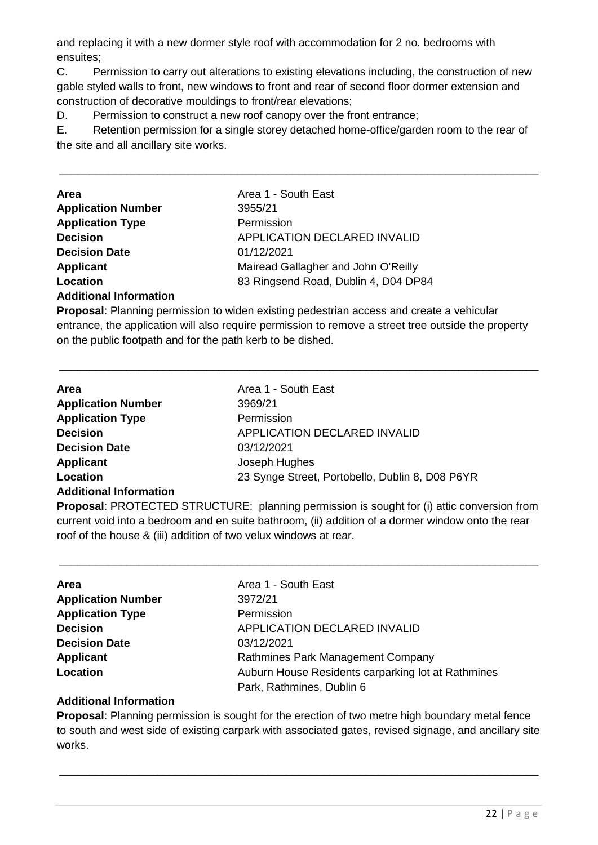and replacing it with a new dormer style roof with accommodation for 2 no. bedrooms with ensuites;

C. Permission to carry out alterations to existing elevations including, the construction of new gable styled walls to front, new windows to front and rear of second floor dormer extension and construction of decorative mouldings to front/rear elevations;

D. Permission to construct a new roof canopy over the front entrance;

E. Retention permission for a single storey detached home-office/garden room to the rear of the site and all ancillary site works.

\_\_\_\_\_\_\_\_\_\_\_\_\_\_\_\_\_\_\_\_\_\_\_\_\_\_\_\_\_\_\_\_\_\_\_\_\_\_\_\_\_\_\_\_\_\_\_\_\_\_\_\_\_\_\_\_\_\_\_\_\_\_\_\_\_\_\_\_\_\_\_\_\_\_\_\_\_\_

| Area                      | Area 1 - South East                  |
|---------------------------|--------------------------------------|
| <b>Application Number</b> | 3955/21                              |
| <b>Application Type</b>   | Permission                           |
| <b>Decision</b>           | APPLICATION DECLARED INVALID         |
| <b>Decision Date</b>      | 01/12/2021                           |
| <b>Applicant</b>          | Mairead Gallagher and John O'Reilly  |
| Location                  | 83 Ringsend Road, Dublin 4, D04 DP84 |
|                           |                                      |

#### **Additional Information**

**Proposal**: Planning permission to widen existing pedestrian access and create a vehicular entrance, the application will also require permission to remove a street tree outside the property on the public footpath and for the path kerb to be dished.

\_\_\_\_\_\_\_\_\_\_\_\_\_\_\_\_\_\_\_\_\_\_\_\_\_\_\_\_\_\_\_\_\_\_\_\_\_\_\_\_\_\_\_\_\_\_\_\_\_\_\_\_\_\_\_\_\_\_\_\_\_\_\_\_\_\_\_\_\_\_\_\_\_\_\_\_\_\_

| <b>Area</b>                   | Area 1 - South East                             |
|-------------------------------|-------------------------------------------------|
| <b>Application Number</b>     | 3969/21                                         |
| <b>Application Type</b>       | Permission                                      |
| <b>Decision</b>               | <b>APPLICATION DECLARED INVALID</b>             |
| <b>Decision Date</b>          | 03/12/2021                                      |
| <b>Applicant</b>              | Joseph Hughes                                   |
| Location                      | 23 Synge Street, Portobello, Dublin 8, D08 P6YR |
| <b>Additional Information</b> |                                                 |

**Proposal**: PROTECTED STRUCTURE: planning permission is sought for (i) attic conversion from current void into a bedroom and en suite bathroom, (ii) addition of a dormer window onto the rear roof of the house & (iii) addition of two velux windows at rear.

\_\_\_\_\_\_\_\_\_\_\_\_\_\_\_\_\_\_\_\_\_\_\_\_\_\_\_\_\_\_\_\_\_\_\_\_\_\_\_\_\_\_\_\_\_\_\_\_\_\_\_\_\_\_\_\_\_\_\_\_\_\_\_\_\_\_\_\_\_\_\_\_\_\_\_\_\_\_

| Area                      | Area 1 - South East                                |
|---------------------------|----------------------------------------------------|
| <b>Application Number</b> | 3972/21                                            |
| <b>Application Type</b>   | Permission                                         |
| <b>Decision</b>           | APPLICATION DECLARED INVALID                       |
| <b>Decision Date</b>      | 03/12/2021                                         |
| <b>Applicant</b>          | Rathmines Park Management Company                  |
| Location                  | Auburn House Residents carparking lot at Rathmines |
|                           | Park, Rathmines, Dublin 6                          |

#### **Additional Information**

**Proposal**: Planning permission is sought for the erection of two metre high boundary metal fence to south and west side of existing carpark with associated gates, revised signage, and ancillary site works.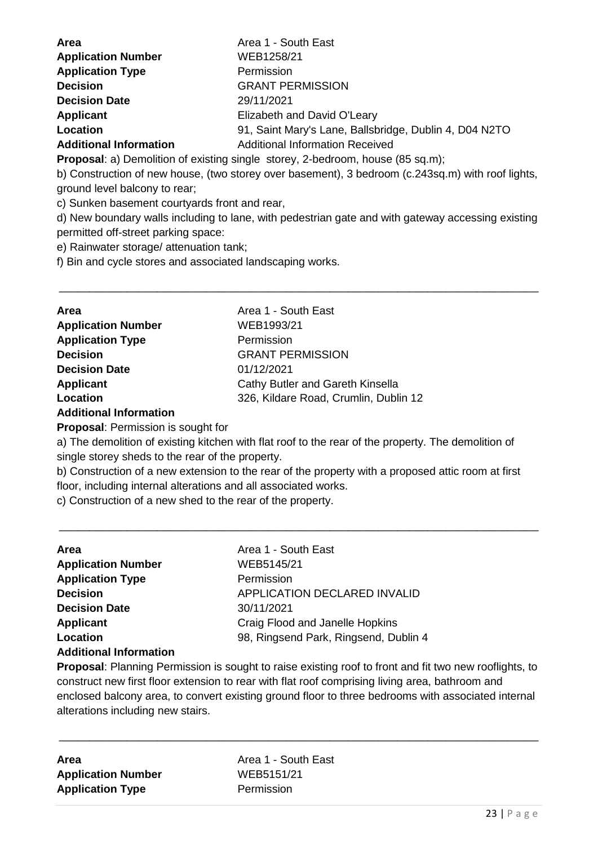| <b>Area</b>                   | Area 1 - South East                                    |
|-------------------------------|--------------------------------------------------------|
| <b>Application Number</b>     | WEB1258/21                                             |
| <b>Application Type</b>       | Permission                                             |
| <b>Decision</b>               | <b>GRANT PERMISSION</b>                                |
| <b>Decision Date</b>          | 29/11/2021                                             |
| <b>Applicant</b>              | Elizabeth and David O'Leary                            |
| Location                      | 91, Saint Mary's Lane, Ballsbridge, Dublin 4, D04 N2TO |
| <b>Additional Information</b> | <b>Additional Information Received</b>                 |

**Proposal:** a) Demolition of existing single storey, 2-bedroom, house (85 sq.m);

b) Construction of new house, (two storey over basement), 3 bedroom (c.243sq.m) with roof lights, ground level balcony to rear;

c) Sunken basement courtyards front and rear,

d) New boundary walls including to lane, with pedestrian gate and with gateway accessing existing permitted off-street parking space:

\_\_\_\_\_\_\_\_\_\_\_\_\_\_\_\_\_\_\_\_\_\_\_\_\_\_\_\_\_\_\_\_\_\_\_\_\_\_\_\_\_\_\_\_\_\_\_\_\_\_\_\_\_\_\_\_\_\_\_\_\_\_\_\_\_\_\_\_\_\_\_\_\_\_\_\_\_\_

e) Rainwater storage/ attenuation tank;

f) Bin and cycle stores and associated landscaping works.

| <b>Area</b>                          | Area 1 - South East                   |
|--------------------------------------|---------------------------------------|
| <b>Application Number</b>            | WEB1993/21                            |
| <b>Application Type</b>              | Permission                            |
| <b>Decision</b>                      | <b>GRANT PERMISSION</b>               |
| <b>Decision Date</b>                 | 01/12/2021                            |
| <b>Applicant</b>                     | Cathy Butler and Gareth Kinsella      |
| Location                             | 326, Kildare Road, Crumlin, Dublin 12 |
| Ashalitha ann an India anns a tha an |                                       |

**Additional Information**

**Proposal**: Permission is sought for

a) The demolition of existing kitchen with flat roof to the rear of the property. The demolition of single storey sheds to the rear of the property.

b) Construction of a new extension to the rear of the property with a proposed attic room at first floor, including internal alterations and all associated works.

\_\_\_\_\_\_\_\_\_\_\_\_\_\_\_\_\_\_\_\_\_\_\_\_\_\_\_\_\_\_\_\_\_\_\_\_\_\_\_\_\_\_\_\_\_\_\_\_\_\_\_\_\_\_\_\_\_\_\_\_\_\_\_\_\_\_\_\_\_\_\_\_\_\_\_\_\_\_

c) Construction of a new shed to the rear of the property.

| <b>Area</b>                   | Area 1 - South East                   |
|-------------------------------|---------------------------------------|
| <b>Application Number</b>     | WEB5145/21                            |
| <b>Application Type</b>       | Permission                            |
| <b>Decision</b>               | <b>APPLICATION DECLARED INVALID</b>   |
| <b>Decision Date</b>          | 30/11/2021                            |
| <b>Applicant</b>              | Craig Flood and Janelle Hopkins       |
| Location                      | 98, Ringsend Park, Ringsend, Dublin 4 |
| <b>Additional Information</b> |                                       |

**Proposal**: Planning Permission is sought to raise existing roof to front and fit two new rooflights, to construct new first floor extension to rear with flat roof comprising living area, bathroom and enclosed balcony area, to convert existing ground floor to three bedrooms with associated internal alterations including new stairs.

\_\_\_\_\_\_\_\_\_\_\_\_\_\_\_\_\_\_\_\_\_\_\_\_\_\_\_\_\_\_\_\_\_\_\_\_\_\_\_\_\_\_\_\_\_\_\_\_\_\_\_\_\_\_\_\_\_\_\_\_\_\_\_\_\_\_\_\_\_\_\_\_\_\_\_\_\_\_

| Area                      |  |
|---------------------------|--|
| <b>Application Number</b> |  |
| <b>Application Type</b>   |  |

**Area** Area 1 - South East **Application Number** WEB5151/21 **Permission**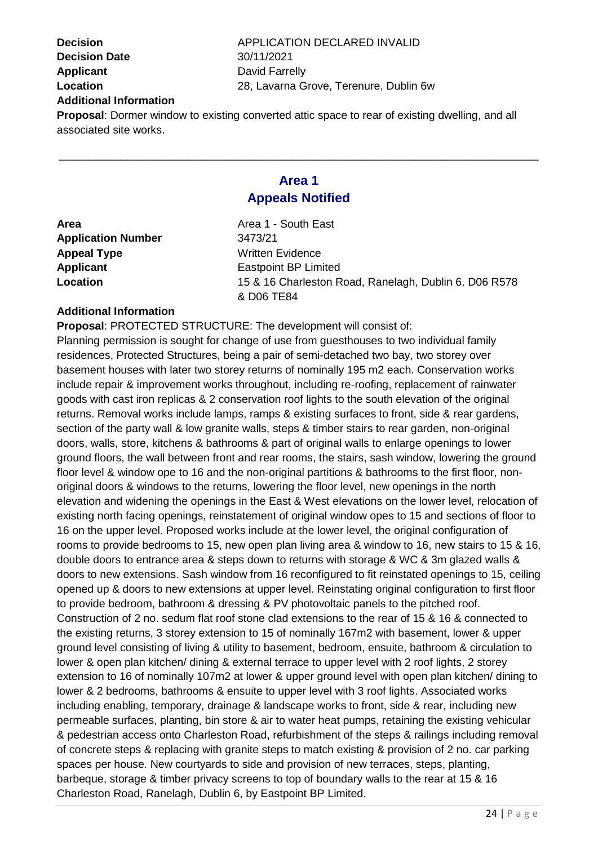**Decision Date** 30/11/2021 **Applicant** David Farrelly **Additional Information**

**Decision** APPLICATION DECLARED INVALID **Location** 28, Lavarna Grove, Terenure, Dublin 6w

**Proposal**: Dormer window to existing converted attic space to rear of existing dwelling, and all associated site works.

### **Area 1 Appeals Notified**

\_\_\_\_\_\_\_\_\_\_\_\_\_\_\_\_\_\_\_\_\_\_\_\_\_\_\_\_\_\_\_\_\_\_\_\_\_\_\_\_\_\_\_\_\_\_\_\_\_\_\_\_\_\_\_\_\_\_\_\_\_\_\_\_\_\_\_\_\_\_\_\_\_\_\_\_\_\_

| Area                      | Area 1 - South East                                   |
|---------------------------|-------------------------------------------------------|
| <b>Application Number</b> | 3473/21                                               |
| <b>Appeal Type</b>        | <b>Written Evidence</b>                               |
| <b>Applicant</b>          | <b>Eastpoint BP Limited</b>                           |
| Location                  | 15 & 16 Charleston Road, Ranelagh, Dublin 6. D06 R578 |
|                           | & D06 TE84                                            |
|                           |                                                       |

#### **Additional Information**

**Proposal**: PROTECTED STRUCTURE: The development will consist of:

Planning permission is sought for change of use from guesthouses to two individual family residences, Protected Structures, being a pair of semi-detached two bay, two storey over basement houses with later two storey returns of nominally 195 m2 each. Conservation works include repair & improvement works throughout, including re-roofing, replacement of rainwater goods with cast iron replicas & 2 conservation roof lights to the south elevation of the original returns. Removal works include lamps, ramps & existing surfaces to front, side & rear gardens, section of the party wall & low granite walls, steps & timber stairs to rear garden, non-original doors, walls, store, kitchens & bathrooms & part of original walls to enlarge openings to lower ground floors, the wall between front and rear rooms, the stairs, sash window, lowering the ground floor level & window ope to 16 and the non-original partitions & bathrooms to the first floor, nonoriginal doors & windows to the returns, lowering the floor level, new openings in the north elevation and widening the openings in the East & West elevations on the lower level, relocation of existing north facing openings, reinstatement of original window opes to 15 and sections of floor to 16 on the upper level. Proposed works include at the lower level, the original configuration of rooms to provide bedrooms to 15, new open plan living area & window to 16, new stairs to 15 & 16, double doors to entrance area & steps down to returns with storage & WC & 3m glazed walls & doors to new extensions. Sash window from 16 reconfigured to fit reinstated openings to 15, ceiling opened up & doors to new extensions at upper level. Reinstating original configuration to first floor to provide bedroom, bathroom & dressing & PV photovoltaic panels to the pitched roof. Construction of 2 no. sedum flat roof stone clad extensions to the rear of 15 & 16 & connected to the existing returns, 3 storey extension to 15 of nominally 167m2 with basement, lower & upper ground level consisting of living & utility to basement, bedroom, ensuite, bathroom & circulation to lower & open plan kitchen/ dining & external terrace to upper level with 2 roof lights, 2 storey extension to 16 of nominally 107m2 at lower & upper ground level with open plan kitchen/ dining to lower & 2 bedrooms, bathrooms & ensuite to upper level with 3 roof lights. Associated works including enabling, temporary, drainage & landscape works to front, side & rear, including new permeable surfaces, planting, bin store & air to water heat pumps, retaining the existing vehicular & pedestrian access onto Charleston Road, refurbishment of the steps & railings including removal of concrete steps & replacing with granite steps to match existing & provision of 2 no. car parking spaces per house. New courtyards to side and provision of new terraces, steps, planting, barbeque, storage & timber privacy screens to top of boundary walls to the rear at 15 & 16 Charleston Road, Ranelagh, Dublin 6, by Eastpoint BP Limited.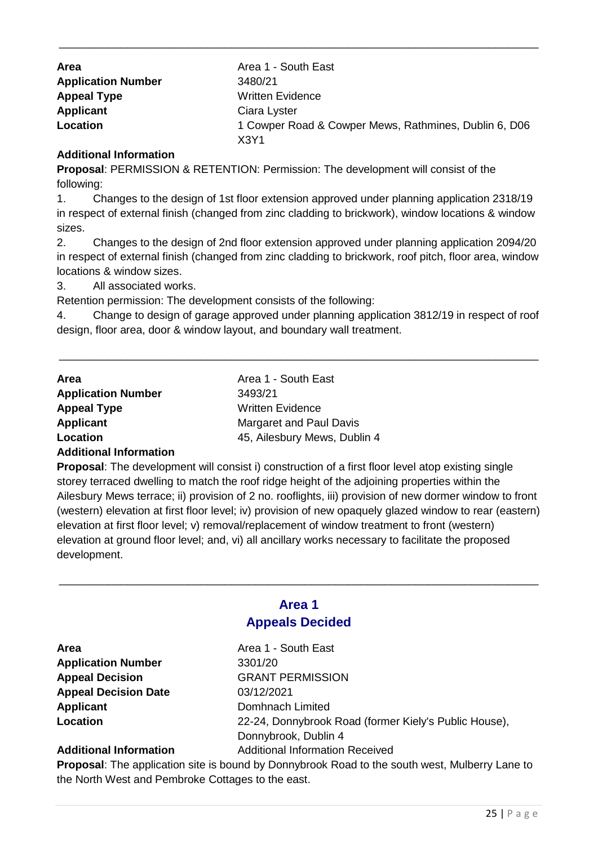| <b>Area</b>               | Area 1 - South East                                   |
|---------------------------|-------------------------------------------------------|
| <b>Application Number</b> | 3480/21                                               |
| <b>Appeal Type</b>        | <b>Written Evidence</b>                               |
| <b>Applicant</b>          | Ciara Lyster                                          |
| Location                  | 1 Cowper Road & Cowper Mews, Rathmines, Dublin 6, D06 |
|                           | X <sub>3</sub> Y <sub>1</sub>                         |

\_\_\_\_\_\_\_\_\_\_\_\_\_\_\_\_\_\_\_\_\_\_\_\_\_\_\_\_\_\_\_\_\_\_\_\_\_\_\_\_\_\_\_\_\_\_\_\_\_\_\_\_\_\_\_\_\_\_\_\_\_\_\_\_\_\_\_\_\_\_\_\_\_\_\_\_\_\_

#### **Additional Information**

**Proposal**: PERMISSION & RETENTION: Permission: The development will consist of the following:

1. Changes to the design of 1st floor extension approved under planning application 2318/19 in respect of external finish (changed from zinc cladding to brickwork), window locations & window sizes.

2. Changes to the design of 2nd floor extension approved under planning application 2094/20 in respect of external finish (changed from zinc cladding to brickwork, roof pitch, floor area, window locations & window sizes.

3. All associated works.

Retention permission: The development consists of the following:

4. Change to design of garage approved under planning application 3812/19 in respect of roof design, floor area, door & window layout, and boundary wall treatment.

\_\_\_\_\_\_\_\_\_\_\_\_\_\_\_\_\_\_\_\_\_\_\_\_\_\_\_\_\_\_\_\_\_\_\_\_\_\_\_\_\_\_\_\_\_\_\_\_\_\_\_\_\_\_\_\_\_\_\_\_\_\_\_\_\_\_\_\_\_\_\_\_\_\_\_\_\_\_

| <b>Area</b>               | Area 1 - South East          |
|---------------------------|------------------------------|
| <b>Application Number</b> | 3493/21                      |
| <b>Appeal Type</b>        | Written Evidence             |
| <b>Applicant</b>          | Margaret and Paul Davis      |
| Location                  | 45, Ailesbury Mews, Dublin 4 |

#### **Additional Information**

**Proposal:** The development will consist i) construction of a first floor level atop existing single storey terraced dwelling to match the roof ridge height of the adjoining properties within the Ailesbury Mews terrace; ii) provision of 2 no. rooflights, iii) provision of new dormer window to front (western) elevation at first floor level; iv) provision of new opaquely glazed window to rear (eastern) elevation at first floor level; v) removal/replacement of window treatment to front (western) elevation at ground floor level; and, vi) all ancillary works necessary to facilitate the proposed development.

#### **Area 1 Appeals Decided**

\_\_\_\_\_\_\_\_\_\_\_\_\_\_\_\_\_\_\_\_\_\_\_\_\_\_\_\_\_\_\_\_\_\_\_\_\_\_\_\_\_\_\_\_\_\_\_\_\_\_\_\_\_\_\_\_\_\_\_\_\_\_\_\_\_\_\_\_\_\_\_\_\_\_\_\_\_\_

| Area                        |
|-----------------------------|
| <b>Application Number</b>   |
| <b>Appeal Decision</b>      |
| <b>Appeal Decision Date</b> |
| <b>Applicant</b>            |
| Location                    |

**Area** Area 1 - South East **Application Number** 3301/20 **Appeal Decision** GRANT PERMISSION **Appeal Decision Date** 03/12/2021 **Applicant** Domhnach Limited **Location** 22-24, Donnybrook Road (former Kiely's Public House), Donnybrook, Dublin 4 **Additional Information** Additional Information Received

**Proposal**: The application site is bound by Donnybrook Road to the south west, Mulberry Lane to the North West and Pembroke Cottages to the east.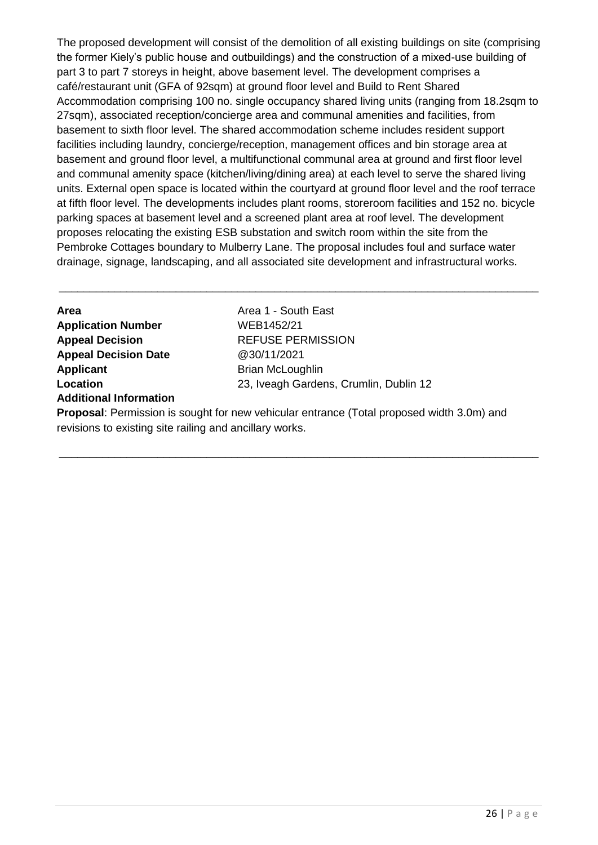The proposed development will consist of the demolition of all existing buildings on site (comprising the former Kiely's public house and outbuildings) and the construction of a mixed-use building of part 3 to part 7 storeys in height, above basement level. The development comprises a café/restaurant unit (GFA of 92sqm) at ground floor level and Build to Rent Shared Accommodation comprising 100 no. single occupancy shared living units (ranging from 18.2sqm to 27sqm), associated reception/concierge area and communal amenities and facilities, from basement to sixth floor level. The shared accommodation scheme includes resident support facilities including laundry, concierge/reception, management offices and bin storage area at basement and ground floor level, a multifunctional communal area at ground and first floor level and communal amenity space (kitchen/living/dining area) at each level to serve the shared living units. External open space is located within the courtyard at ground floor level and the roof terrace at fifth floor level. The developments includes plant rooms, storeroom facilities and 152 no. bicycle parking spaces at basement level and a screened plant area at roof level. The development proposes relocating the existing ESB substation and switch room within the site from the Pembroke Cottages boundary to Mulberry Lane. The proposal includes foul and surface water drainage, signage, landscaping, and all associated site development and infrastructural works.

\_\_\_\_\_\_\_\_\_\_\_\_\_\_\_\_\_\_\_\_\_\_\_\_\_\_\_\_\_\_\_\_\_\_\_\_\_\_\_\_\_\_\_\_\_\_\_\_\_\_\_\_\_\_\_\_\_\_\_\_\_\_\_\_\_\_\_\_\_\_\_\_\_\_\_\_\_\_

| Area                          | Area 1 - South East                                                                         |
|-------------------------------|---------------------------------------------------------------------------------------------|
| <b>Application Number</b>     | WEB1452/21                                                                                  |
| <b>Appeal Decision</b>        | <b>REFUSE PERMISSION</b>                                                                    |
| <b>Appeal Decision Date</b>   | @30/11/2021                                                                                 |
| Applicant                     | <b>Brian McLoughlin</b>                                                                     |
| Location                      | 23, Iveagh Gardens, Crumlin, Dublin 12                                                      |
| <b>Additional Information</b> |                                                                                             |
|                               | <b>Proposal:</b> Permission is sought for new vehicular entrance (Total proposed width 3 Om |

**Proposal**: Permission is sought for new vehicular entrance (Total proposed width 3.0m) and revisions to existing site railing and ancillary works.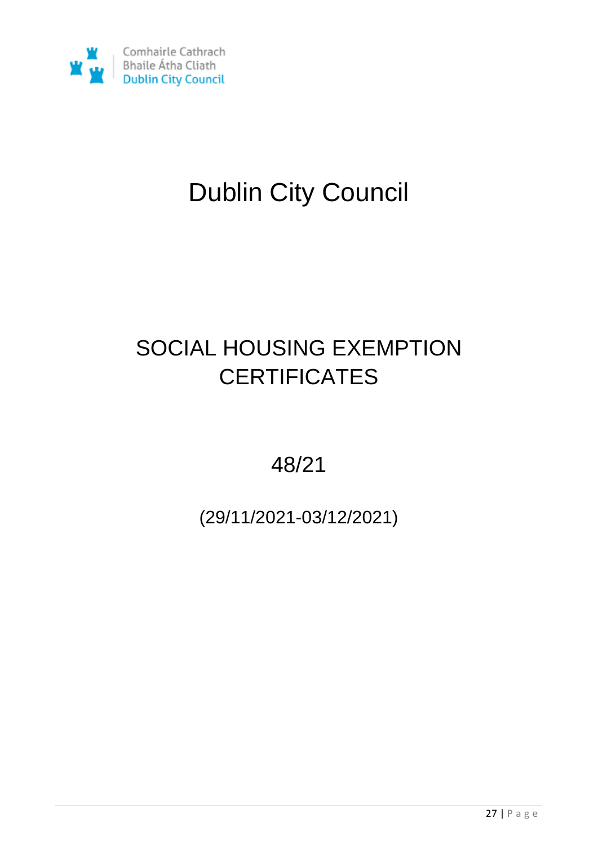

# Dublin City Council

## SOCIAL HOUSING EXEMPTION **CERTIFICATES**

48/21

(29/11/2021-03/12/2021)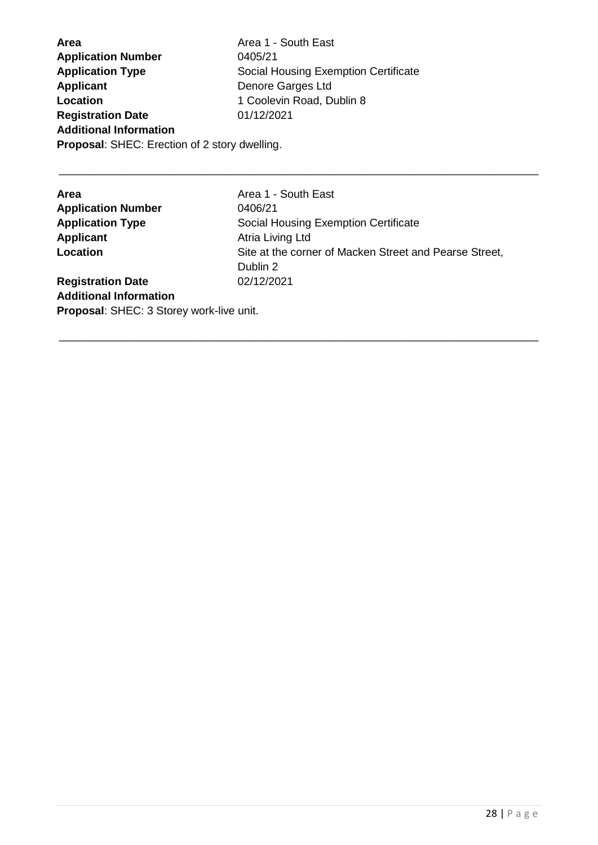**Area Area 1 - South East Application Number** 0405/21 **Application Type** Social Housing Exemption Certificate **Applicant** Denore Garges Ltd **Location** 1 Coolevin Road, Dublin 8 **Registration Date** 01/12/2021 **Additional Information Proposal**: SHEC: Erection of 2 story dwelling.

| Area 1 - South East                                    |
|--------------------------------------------------------|
| 0406/21                                                |
| Social Housing Exemption Certificate                   |
| Atria Living Ltd                                       |
| Site at the corner of Macken Street and Pearse Street, |
| Dublin 2                                               |
| 02/12/2021                                             |
|                                                        |
| Proposal: SHEC: 3 Storey work-live unit.               |
|                                                        |

\_\_\_\_\_\_\_\_\_\_\_\_\_\_\_\_\_\_\_\_\_\_\_\_\_\_\_\_\_\_\_\_\_\_\_\_\_\_\_\_\_\_\_\_\_\_\_\_\_\_\_\_\_\_\_\_\_\_\_\_\_\_\_\_\_\_\_\_\_\_\_\_\_\_\_\_\_\_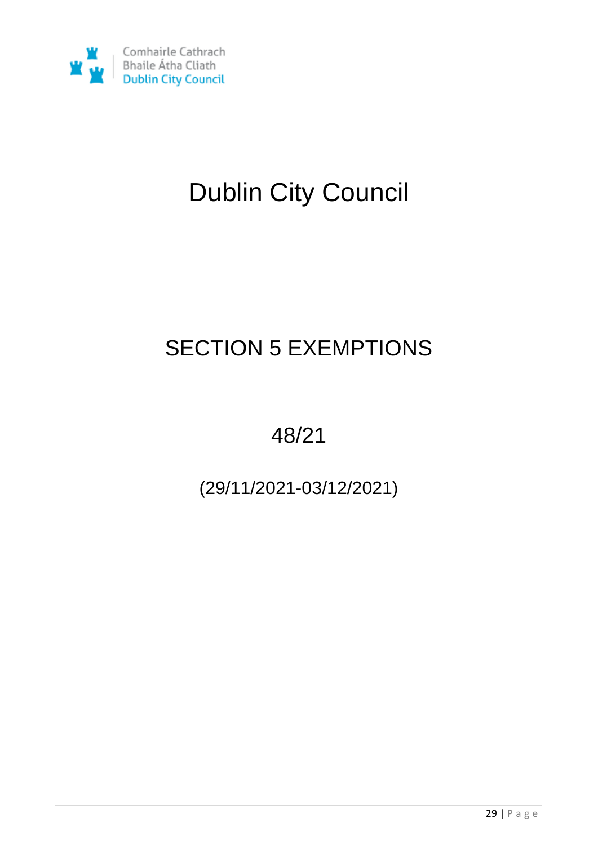

# Dublin City Council

## SECTION 5 EXEMPTIONS

48/21

(29/11/2021-03/12/2021)